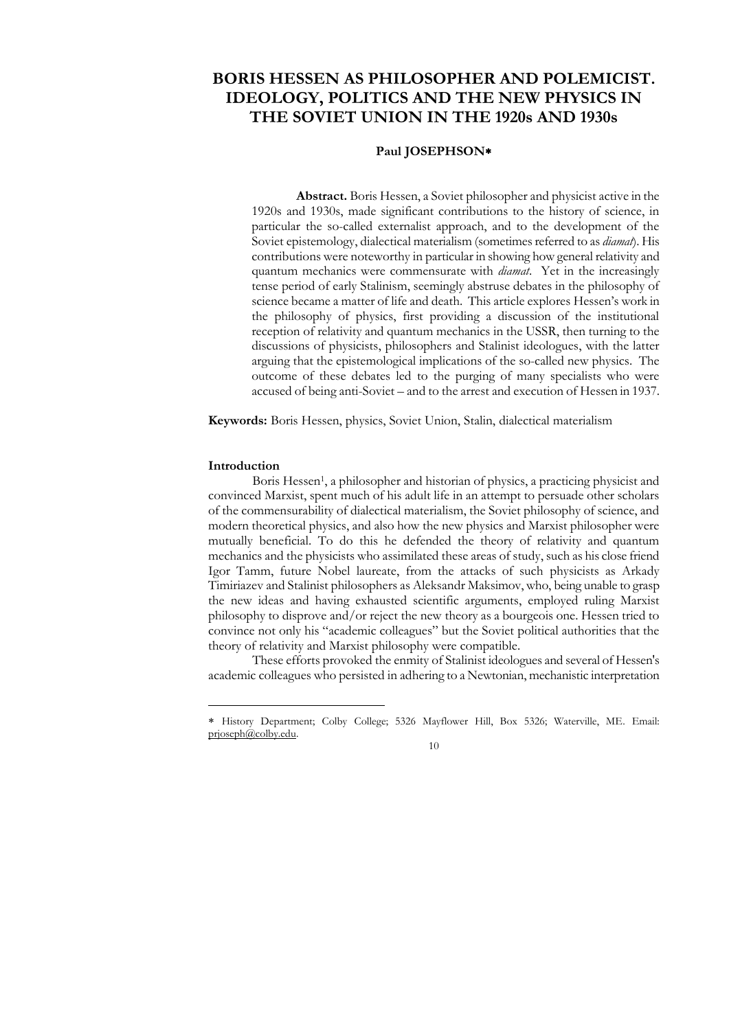# **BORIS HESSEN AS PHILOSOPHER AND POLEMICIST. IDEOLOGY, POLITICS AND THE NEW PHYSICS IN THE SOVIET UNION IN THE 1920s AND 1930s**

## **Paul JOSEPHSON**

**Abstract.** Boris Hessen, a Soviet philosopher and physicist active in the 1920s and 1930s, made significant contributions to the history of science, in particular the so-called externalist approach, and to the development of the Soviet epistemology, dialectical materialism (sometimes referred to as *diamat*). His contributions were noteworthy in particular in showing how general relativity and quantum mechanics were commensurate with *diamat*. Yet in the increasingly tense period of early Stalinism, seemingly abstruse debates in the philosophy of science became a matter of life and death. This article explores Hessen's work in the philosophy of physics, first providing a discussion of the institutional reception of relativity and quantum mechanics in the USSR, then turning to the discussions of physicists, philosophers and Stalinist ideologues, with the latter arguing that the epistemological implications of the so-called new physics. The outcome of these debates led to the purging of many specialists who were accused of being anti-Soviet – and to the arrest and execution of Hessen in 1937.

**Keywords:** Boris Hessen, physics, Soviet Union, Stalin, dialectical materialism

#### **Introduction**

<u>.</u>

Boris Hessen<sup>1</sup>, a philosopher and historian of physics, a practicing physicist and convinced Marxist, spent much of his adult life in an attempt to persuade other scholars of the commensurability of dialectical materialism, the Soviet philosophy of science, and modern theoretical physics, and also how the new physics and Marxist philosopher were mutually beneficial. To do this he defended the theory of relativity and quantum mechanics and the physicists who assimilated these areas of study, such as his close friend Igor Tamm, future Nobel laureate, from the attacks of such physicists as Arkady Timiriazev and Stalinist philosophers as Aleksandr Maksimov, who, being unable to grasp the new ideas and having exhausted scientific arguments, employed ruling Marxist philosophy to disprove and/or reject the new theory as a bourgeois one. Hessen tried to convince not only his "academic colleagues" but the Soviet political authorities that the theory of relativity and Marxist philosophy were compatible.

These efforts provoked the enmity of Stalinist ideologues and several of Hessen's academic colleagues who persisted in adhering to a Newtonian, mechanistic interpretation

History Department; Colby College; 5326 Mayflower Hill, Box 5326; Waterville, ME. Email: [prjoseph@colby.edu.](mailto:prjoseph@colby.edu)

<sup>10</sup>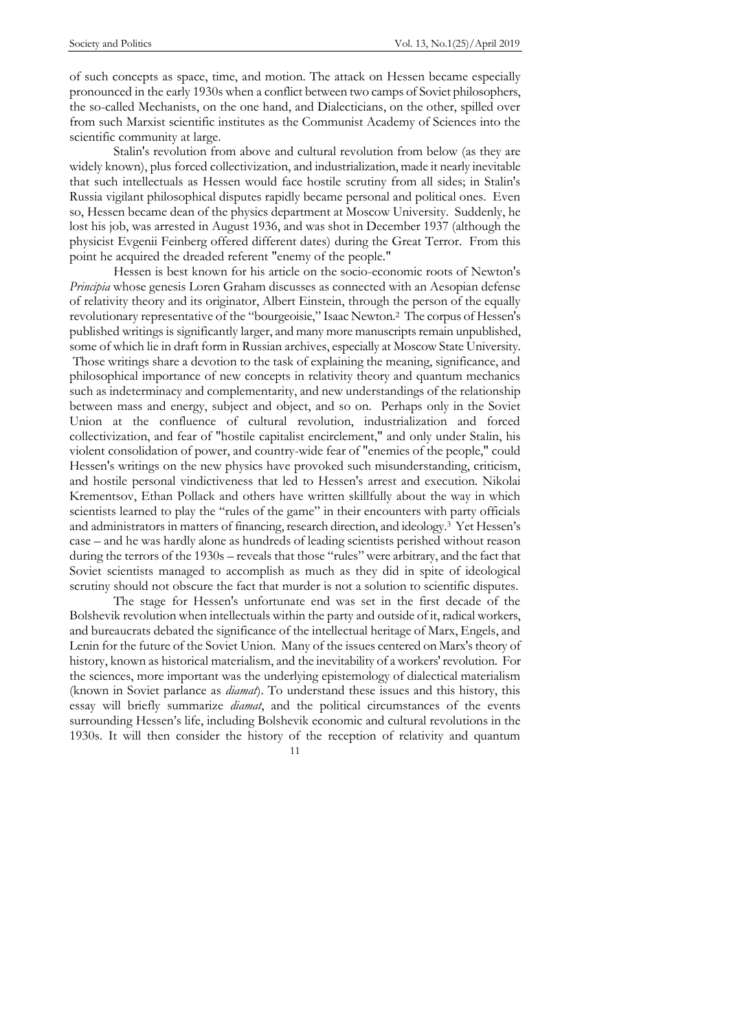of such concepts as space, time, and motion. The attack on Hessen became especially pronounced in the early 1930s when a conflict between two camps of Soviet philosophers, the so-called Mechanists, on the one hand, and Dialecticians, on the other, spilled over from such Marxist scientific institutes as the Communist Academy of Sciences into the scientific community at large.

Stalin's revolution from above and cultural revolution from below (as they are widely known), plus forced collectivization, and industrialization, made it nearly inevitable that such intellectuals as Hessen would face hostile scrutiny from all sides; in Stalin's Russia vigilant philosophical disputes rapidly became personal and political ones. Even so, Hessen became dean of the physics department at Moscow University. Suddenly, he lost his job, was arrested in August 1936, and was shot in December 1937 (although the physicist Evgenii Feinberg offered different dates) during the Great Terror. From this point he acquired the dreaded referent "enemy of the people."

Hessen is best known for his article on the socio-economic roots of Newton's *Principia* whose genesis Loren Graham discusses as connected with an Aesopian defense of relativity theory and its originator, Albert Einstein, through the person of the equally revolutionary representative of the "bourgeoisie," Isaac Newton.<sup>2</sup> The corpus of Hessen's published writings is significantly larger, and many more manuscripts remain unpublished, some of which lie in draft form in Russian archives, especially at Moscow State University. Those writings share a devotion to the task of explaining the meaning, significance, and philosophical importance of new concepts in relativity theory and quantum mechanics such as indeterminacy and complementarity, and new understandings of the relationship between mass and energy, subject and object, and so on. Perhaps only in the Soviet Union at the confluence of cultural revolution, industrialization and forced collectivization, and fear of "hostile capitalist encirclement," and only under Stalin, his violent consolidation of power, and country-wide fear of "enemies of the people," could Hessen's writings on the new physics have provoked such misunderstanding, criticism, and hostile personal vindictiveness that led to Hessen's arrest and execution. Nikolai Krementsov, Ethan Pollack and others have written skillfully about the way in which scientists learned to play the "rules of the game" in their encounters with party officials and administrators in matters of financing, research direction, and ideology.<sup>3</sup> Yet Hessen's case – and he was hardly alone as hundreds of leading scientists perished without reason during the terrors of the  $1930s$  – reveals that those "rules" were arbitrary, and the fact that Soviet scientists managed to accomplish as much as they did in spite of ideological scrutiny should not obscure the fact that murder is not a solution to scientific disputes.

The stage for Hessen's unfortunate end was set in the first decade of the Bolshevik revolution when intellectuals within the party and outside of it, radical workers, and bureaucrats debated the significance of the intellectual heritage of Marx, Engels, and Lenin for the future of the Soviet Union. Many of the issues centered on Marx's theory of history, known as historical materialism, and the inevitability of a workers' revolution. For the sciences, more important was the underlying epistemology of dialectical materialism (known in Soviet parlance as *diamat*). To understand these issues and this history, this essay will briefly summarize *diamat*, and the political circumstances of the events surrounding Hessen's life, including Bolshevik economic and cultural revolutions in the 1930s. It will then consider the history of the reception of relativity and quantum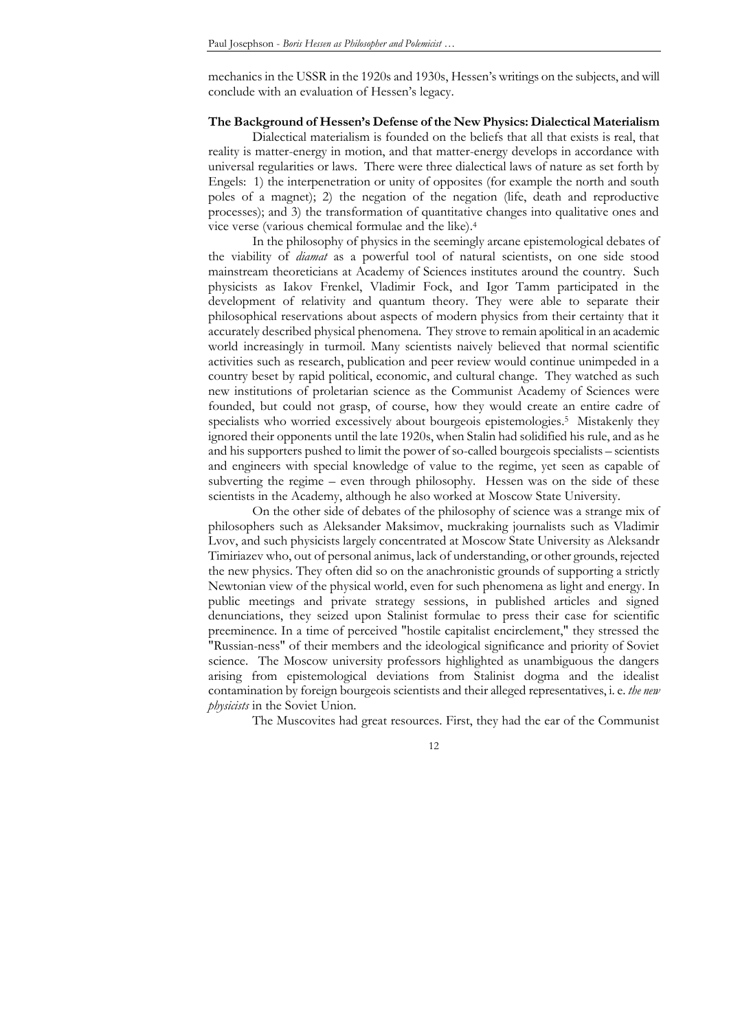mechanics in the USSR in the 1920s and 1930s, Hessen's writings on the subjects, and will conclude with an evaluation of Hessen's legacy.

## **The Background of Hessen's Defense of the New Physics: Dialectical Materialism**

Dialectical materialism is founded on the beliefs that all that exists is real, that reality is matter-energy in motion, and that matter-energy develops in accordance with universal regularities or laws. There were three dialectical laws of nature as set forth by Engels: 1) the interpenetration or unity of opposites (for example the north and south poles of a magnet); 2) the negation of the negation (life, death and reproductive processes); and 3) the transformation of quantitative changes into qualitative ones and vice verse (various chemical formulae and the like).<sup>4</sup>

In the philosophy of physics in the seemingly arcane epistemological debates of the viability of *diamat* as a powerful tool of natural scientists, on one side stood mainstream theoreticians at Academy of Sciences institutes around the country. Such physicists as Iakov Frenkel, Vladimir Fock, and Igor Tamm participated in the development of relativity and quantum theory. They were able to separate their philosophical reservations about aspects of modern physics from their certainty that it accurately described physical phenomena. They strove to remain apolitical in an academic world increasingly in turmoil. Many scientists naively believed that normal scientific activities such as research, publication and peer review would continue unimpeded in a country beset by rapid political, economic, and cultural change. They watched as such new institutions of proletarian science as the Communist Academy of Sciences were founded, but could not grasp, of course, how they would create an entire cadre of specialists who worried excessively about bourgeois epistemologies. <sup>5</sup> Mistakenly they ignored their opponents until the late 1920s, when Stalin had solidified his rule, and as he and his supporters pushed to limit the power of so-called bourgeois specialists – scientists and engineers with special knowledge of value to the regime, yet seen as capable of subverting the regime – even through philosophy. Hessen was on the side of these scientists in the Academy, although he also worked at Moscow State University.

On the other side of debates of the philosophy of science was a strange mix of philosophers such as Aleksander Maksimov, muckraking journalists such as Vladimir Lvov, and such physicists largely concentrated at Moscow State University as Aleksandr Timiriazev who, out of personal animus, lack of understanding, or other grounds, rejected the new physics. They often did so on the anachronistic grounds of supporting a strictly Newtonian view of the physical world, even for such phenomena as light and energy. In public meetings and private strategy sessions, in published articles and signed denunciations, they seized upon Stalinist formulae to press their case for scientific preeminence. In a time of perceived "hostile capitalist encirclement," they stressed the "Russian-ness" of their members and the ideological significance and priority of Soviet science. The Moscow university professors highlighted as unambiguous the dangers arising from epistemological deviations from Stalinist dogma and the idealist contamination by foreign bourgeois scientists and their alleged representatives, i. e. *the new physicists* in the Soviet Union.

The Muscovites had great resources. First, they had the ear of the Communist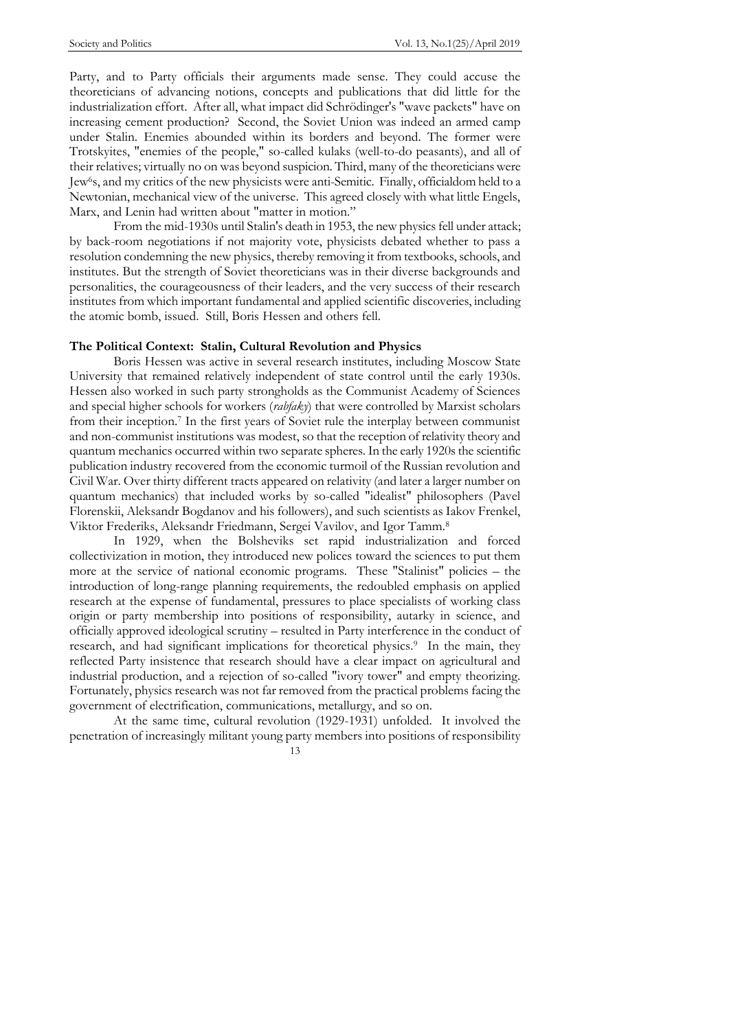Party, and to Party officials their arguments made sense. They could accuse the theoreticians of advancing notions, concepts and publications that did little for the industrialization effort. After all, what impact did Schrödinger's "wave packets" have on increasing cement production? Second, the Soviet Union was indeed an armed camp under Stalin. Enemies abounded within its borders and beyond. The former were Trotskyites, "enemies of the people," so-called kulaks (well-to-do peasants), and all of their relatives; virtually no on was beyond suspicion. Third, many of the theoreticians were Jew6s, and my critics of the new physicists were anti-Semitic. Finally, officialdom held to a Newtonian, mechanical view of the universe. This agreed closely with what little Engels, Marx, and Lenin had written about "matter in motion."

From the mid-1930s until Stalin's death in 1953, the new physics fell under attack; by back-room negotiations if not majority vote, physicists debated whether to pass a resolution condemning the new physics, thereby removing it from textbooks, schools, and institutes. But the strength of Soviet theoreticians was in their diverse backgrounds and personalities, the courageousness of their leaders, and the very success of their research institutes from which important fundamental and applied scientific discoveries, including the atomic bomb, issued. Still, Boris Hessen and others fell.

#### **The Political Context: Stalin, Cultural Revolution and Physics**

Boris Hessen was active in several research institutes, including Moscow State University that remained relatively independent of state control until the early 1930s. Hessen also worked in such party strongholds as the Communist Academy of Sciences and special higher schools for workers (*rabfaky*) that were controlled by Marxist scholars from their inception. <sup>7</sup> In the first years of Soviet rule the interplay between communist and non-communist institutions was modest, so that the reception of relativity theory and quantum mechanics occurred within two separate spheres. In the early 1920s the scientific publication industry recovered from the economic turmoil of the Russian revolution and Civil War. Over thirty different tracts appeared on relativity (and later a larger number on quantum mechanics) that included works by so-called "idealist" philosophers (Pavel Florenskii, Aleksandr Bogdanov and his followers), and such scientists as Iakov Frenkel, Viktor Frederiks, Aleksandr Friedmann, Sergei Vavilov, and Igor Tamm.<sup>8</sup>

In 1929, when the Bolsheviks set rapid industrialization and forced collectivization in motion, they introduced new polices toward the sciences to put them more at the service of national economic programs. These "Stalinist" policies – the introduction of long-range planning requirements, the redoubled emphasis on applied research at the expense of fundamental, pressures to place specialists of working class origin or party membership into positions of responsibility, autarky in science, and officially approved ideological scrutiny – resulted in Party interference in the conduct of research, and had significant implications for theoretical physics.<sup>9</sup> In the main, they reflected Party insistence that research should have a clear impact on agricultural and industrial production, and a rejection of so-called "ivory tower" and empty theorizing. Fortunately, physics research was not far removed from the practical problems facing the government of electrification, communications, metallurgy, and so on.

At the same time, cultural revolution (1929-1931) unfolded. It involved the penetration of increasingly militant young party members into positions of responsibility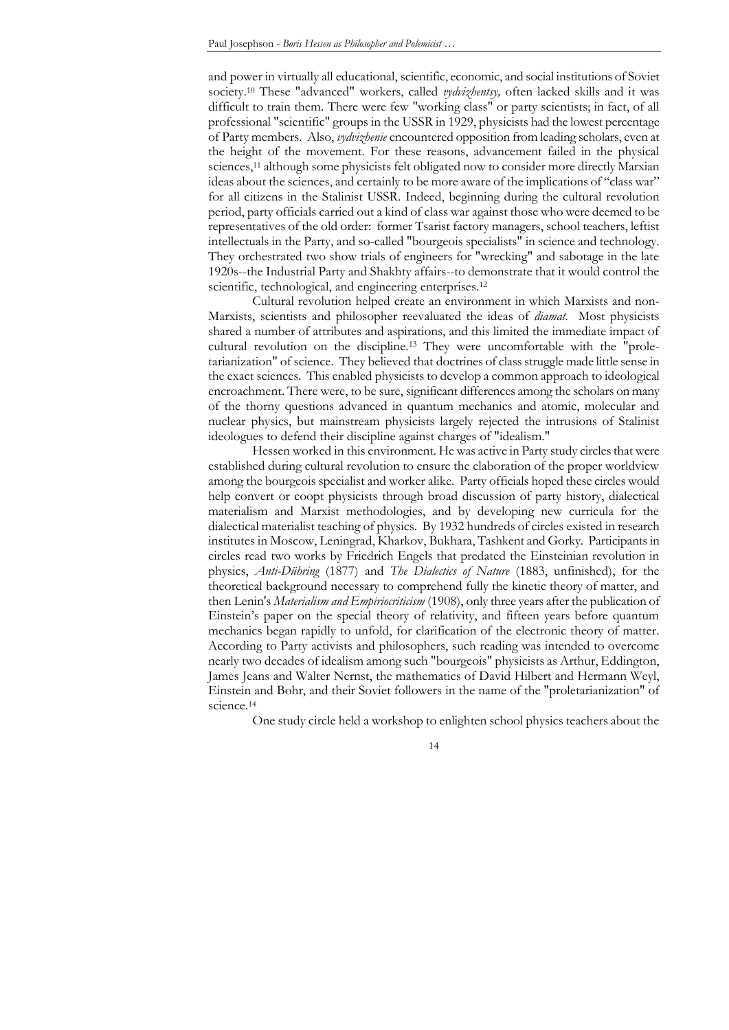and power in virtually all educational, scientific, economic, and social institutions of Soviet society.<sup>10</sup> These "advanced" workers, called *vydvizhentsy,* often lacked skills and it was difficult to train them. There were few "working class" or party scientists; in fact, of all professional "scientific" groups in the USSR in 1929, physicists had the lowest percentage of Party members. Also, *vydvizhenie* encountered opposition from leading scholars, even at the height of the movement. For these reasons, advancement failed in the physical sciences, <sup>11</sup> although some physicists felt obligated now to consider more directly Marxian ideas about the sciences, and certainly to be more aware of the implications of "class war" for all citizens in the Stalinist USSR. Indeed, beginning during the cultural revolution period, party officials carried out a kind of class war against those who were deemed to be representatives of the old order: former Tsarist factory managers, school teachers, leftist intellectuals in the Party, and so-called "bourgeois specialists" in science and technology. They orchestrated two show trials of engineers for "wrecking" and sabotage in the late 1920s--the Industrial Party and Shakhty affairs--to demonstrate that it would control the scientific, technological, and engineering enterprises.<sup>12</sup>

Cultural revolution helped create an environment in which Marxists and non-Marxists, scientists and philosopher reevaluated the ideas of *diamat.* Most physicists shared a number of attributes and aspirations, and this limited the immediate impact of cultural revolution on the discipline.<sup>13</sup> They were uncomfortable with the "proletarianization" of science. They believed that doctrines of class struggle made little sense in the exact sciences. This enabled physicists to develop a common approach to ideological encroachment. There were, to be sure, significant differences among the scholars on many of the thorny questions advanced in quantum mechanics and atomic, molecular and nuclear physics, but mainstream physicists largely rejected the intrusions of Stalinist ideologues to defend their discipline against charges of "idealism."

Hessen worked in this environment. He was active in Party study circles that were established during cultural revolution to ensure the elaboration of the proper worldview among the bourgeois specialist and worker alike. Party officials hoped these circles would help convert or coopt physicists through broad discussion of party history, dialectical materialism and Marxist methodologies, and by developing new curricula for the dialectical materialist teaching of physics. By 1932 hundreds of circles existed in research institutes in Moscow, Leningrad, Kharkov, Bukhara, Tashkent and Gorky. Participants in circles read two works by Friedrich Engels that predated the Einsteinian revolution in physics, *Anti-Dühring* (1877) and *The Dialectics of Nature* (1883, unfinished), for the theoretical background necessary to comprehend fully the kinetic theory of matter, and then Lenin's *Materialism and Empiriocriticism* (1908), only three years after the publication of Einstein's paper on the special theory of relativity, and fifteen years before quantum mechanics began rapidly to unfold, for clarification of the electronic theory of matter. According to Party activists and philosophers, such reading was intended to overcome nearly two decades of idealism among such "bourgeois" physicists as Arthur, Eddington, James Jeans and Walter Nernst, the mathematics of David Hilbert and Hermann Weyl, Einstein and Bohr, and their Soviet followers in the name of the "proletarianization" of science.<sup>14</sup>

One study circle held a workshop to enlighten school physics teachers about the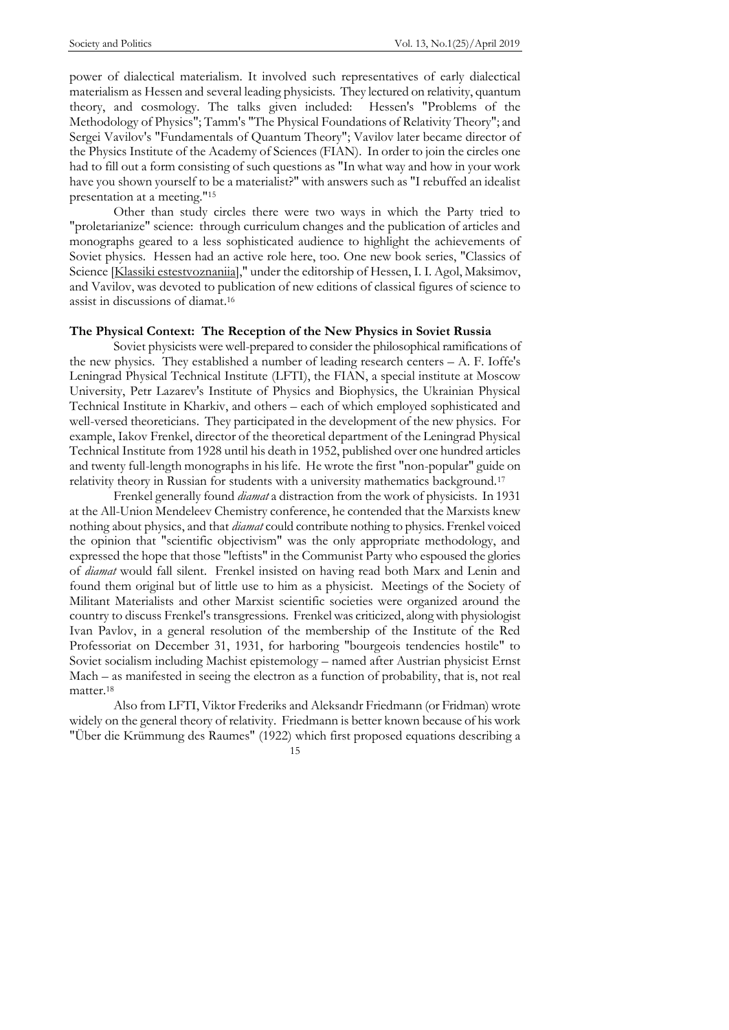power of dialectical materialism. It involved such representatives of early dialectical materialism as Hessen and several leading physicists. They lectured on relativity, quantum theory, and cosmology. The talks given included: Hessen's "Problems of the Methodology of Physics"; Tamm's "The Physical Foundations of Relativity Theory"; and Sergei Vavilov's "Fundamentals of Quantum Theory"; Vavilov later became director of the Physics Institute of the Academy of Sciences (FIAN). In order to join the circles one had to fill out a form consisting of such questions as "In what way and how in your work have you shown yourself to be a materialist?" with answers such as "I rebuffed an idealist presentation at a meeting."<sup>15</sup>

Other than study circles there were two ways in which the Party tried to "proletarianize" science: through curriculum changes and the publication of articles and monographs geared to a less sophisticated audience to highlight the achievements of Soviet physics. Hessen had an active role here, too. One new book series, "Classics of Science [Klassiki estestvoznaniia]," under the editorship of Hessen, I. I. Agol, Maksimov, and Vavilov, was devoted to publication of new editions of classical figures of science to assist in discussions of diamat. 16

#### **The Physical Context: The Reception of the New Physics in Soviet Russia**

Soviet physicists were well-prepared to consider the philosophical ramifications of the new physics. They established a number of leading research centers – A. F. Ioffe's Leningrad Physical Technical Institute (LFTI), the FIAN, a special institute at Moscow University, Petr Lazarev's Institute of Physics and Biophysics, the Ukrainian Physical Technical Institute in Kharkiv, and others – each of which employed sophisticated and well-versed theoreticians. They participated in the development of the new physics. For example, Iakov Frenkel, director of the theoretical department of the Leningrad Physical Technical Institute from 1928 until his death in 1952, published over one hundred articles and twenty full-length monographs in his life. He wrote the first "non-popular" guide on relativity theory in Russian for students with a university mathematics background.<sup>17</sup>

Frenkel generally found *diamat* a distraction from the work of physicists. In 1931 at the All-Union Mendeleev Chemistry conference, he contended that the Marxists knew nothing about physics, and that *diamat* could contribute nothing to physics. Frenkel voiced the opinion that "scientific objectivism" was the only appropriate methodology, and expressed the hope that those "leftists" in the Communist Party who espoused the glories of *diamat* would fall silent. Frenkel insisted on having read both Marx and Lenin and found them original but of little use to him as a physicist. Meetings of the Society of Militant Materialists and other Marxist scientific societies were organized around the country to discuss Frenkel's transgressions. Frenkel was criticized, along with physiologist Ivan Pavlov, in a general resolution of the membership of the Institute of the Red Professoriat on December 31, 1931, for harboring "bourgeois tendencies hostile" to Soviet socialism including Machist epistemology – named after Austrian physicist Ernst Mach – as manifested in seeing the electron as a function of probability, that is, not real matter.<sup>18</sup>

Also from LFTI, Viktor Frederiks and Aleksandr Friedmann (or Fridman) wrote widely on the general theory of relativity. Friedmann is better known because of his work "Über die Krümmung des Raumes" (1922) which first proposed equations describing a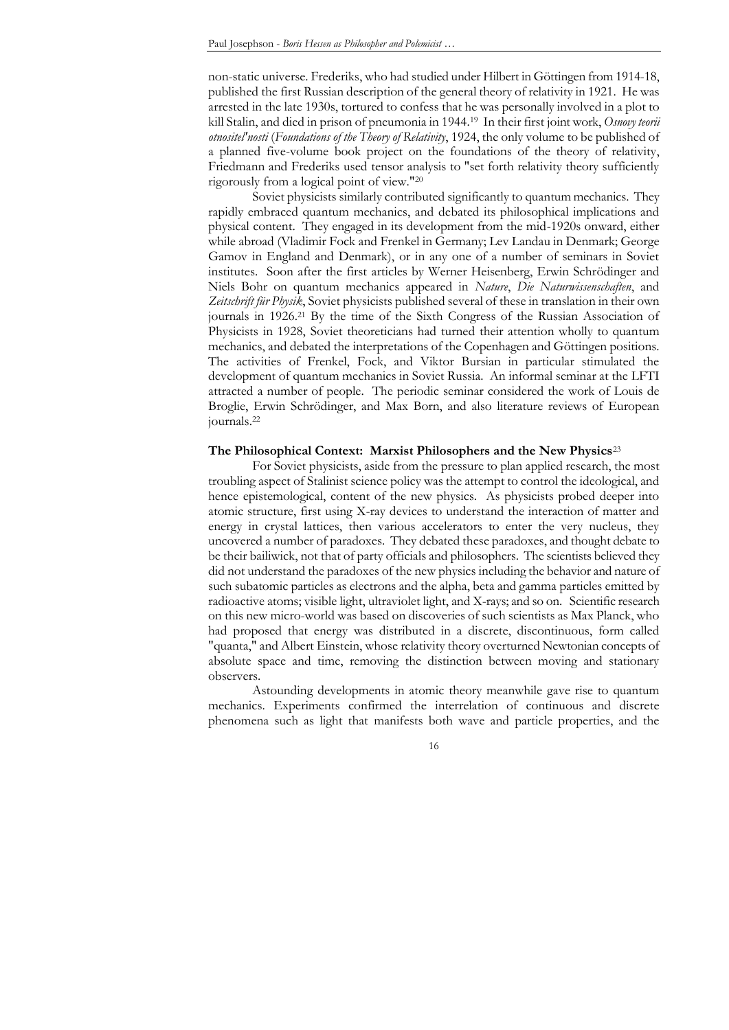non-static universe. Frederiks, who had studied under Hilbert in Göttingen from 1914-18, published the first Russian description of the general theory of relativity in 1921. He was arrested in the late 1930s, tortured to confess that he was personally involved in a plot to kill Stalin, and died in prison of pneumonia in 1944.<sup>19</sup> In their first joint work, *Osnovy teorii otnositel'nosti* (*Foundations of the Theory of Relativity*, 1924, the only volume to be published of a planned five-volume book project on the foundations of the theory of relativity, Friedmann and Frederiks used tensor analysis to "set forth relativity theory sufficiently rigorously from a logical point of view."<sup>20</sup>

Soviet physicists similarly contributed significantly to quantum mechanics. They rapidly embraced quantum mechanics, and debated its philosophical implications and physical content. They engaged in its development from the mid-1920s onward, either while abroad (Vladimir Fock and Frenkel in Germany; Lev Landau in Denmark; George Gamov in England and Denmark), or in any one of a number of seminars in Soviet institutes. Soon after the first articles by Werner Heisenberg, Erwin Schrödinger and Niels Bohr on quantum mechanics appeared in *Nature*, *Die Naturwissenschaften*, and *Zeitschrift für Physik*, Soviet physicists published several of these in translation in their own journals in 1926.<sup>21</sup> By the time of the Sixth Congress of the Russian Association of Physicists in 1928, Soviet theoreticians had turned their attention wholly to quantum mechanics, and debated the interpretations of the Copenhagen and Göttingen positions. The activities of Frenkel, Fock, and Viktor Bursian in particular stimulated the development of quantum mechanics in Soviet Russia. An informal seminar at the LFTI attracted a number of people. The periodic seminar considered the work of Louis de Broglie, Erwin Schrödinger, and Max Born, and also literature reviews of European journals.<sup>22</sup>

## **The Philosophical Context: Marxist Philosophers and the New Physics**<sup>23</sup>

For Soviet physicists, aside from the pressure to plan applied research, the most troubling aspect of Stalinist science policy was the attempt to control the ideological, and hence epistemological, content of the new physics. As physicists probed deeper into atomic structure, first using X-ray devices to understand the interaction of matter and energy in crystal lattices, then various accelerators to enter the very nucleus, they uncovered a number of paradoxes. They debated these paradoxes, and thought debate to be their bailiwick, not that of party officials and philosophers. The scientists believed they did not understand the paradoxes of the new physics including the behavior and nature of such subatomic particles as electrons and the alpha, beta and gamma particles emitted by radioactive atoms; visible light, ultraviolet light, and X-rays; and so on. Scientific research on this new micro-world was based on discoveries of such scientists as Max Planck, who had proposed that energy was distributed in a discrete, discontinuous, form called "quanta," and Albert Einstein, whose relativity theory overturned Newtonian concepts of absolute space and time, removing the distinction between moving and stationary observers.

Astounding developments in atomic theory meanwhile gave rise to quantum mechanics. Experiments confirmed the interrelation of continuous and discrete phenomena such as light that manifests both wave and particle properties, and the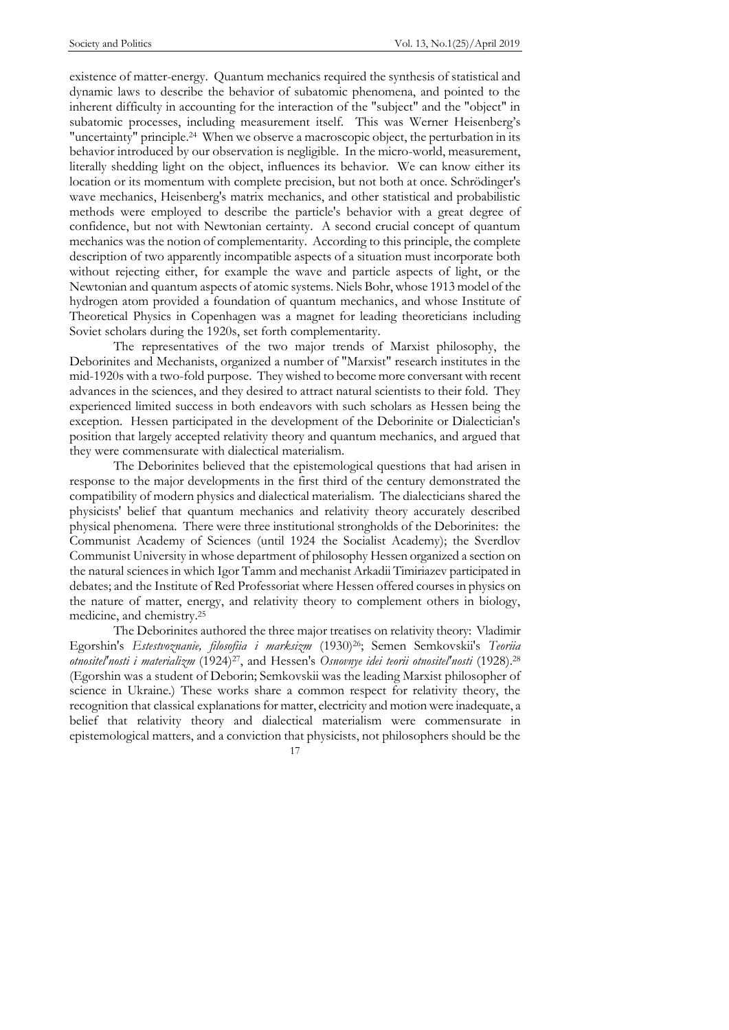existence of matter-energy. Quantum mechanics required the synthesis of statistical and dynamic laws to describe the behavior of subatomic phenomena, and pointed to the inherent difficulty in accounting for the interaction of the "subject" and the "object" in subatomic processes, including measurement itself. This was Werner Heisenberg's "uncertainty" principle.<sup>24</sup> When we observe a macroscopic object, the perturbation in its behavior introduced by our observation is negligible. In the micro-world, measurement, literally shedding light on the object, influences its behavior. We can know either its location or its momentum with complete precision, but not both at once. Schrödinger's wave mechanics, Heisenberg's matrix mechanics, and other statistical and probabilistic methods were employed to describe the particle's behavior with a great degree of confidence, but not with Newtonian certainty. A second crucial concept of quantum mechanics was the notion of complementarity. According to this principle, the complete description of two apparently incompatible aspects of a situation must incorporate both without rejecting either, for example the wave and particle aspects of light, or the Newtonian and quantum aspects of atomic systems. Niels Bohr, whose 1913 model of the hydrogen atom provided a foundation of quantum mechanics, and whose Institute of Theoretical Physics in Copenhagen was a magnet for leading theoreticians including Soviet scholars during the 1920s, set forth complementarity.

The representatives of the two major trends of Marxist philosophy, the Deborinites and Mechanists, organized a number of "Marxist" research institutes in the mid-1920s with a two-fold purpose. They wished to become more conversant with recent advances in the sciences, and they desired to attract natural scientists to their fold. They experienced limited success in both endeavors with such scholars as Hessen being the exception. Hessen participated in the development of the Deborinite or Dialectician's position that largely accepted relativity theory and quantum mechanics, and argued that they were commensurate with dialectical materialism.

The Deborinites believed that the epistemological questions that had arisen in response to the major developments in the first third of the century demonstrated the compatibility of modern physics and dialectical materialism. The dialecticians shared the physicists' belief that quantum mechanics and relativity theory accurately described physical phenomena. There were three institutional strongholds of the Deborinites: the Communist Academy of Sciences (until 1924 the Socialist Academy); the Sverdlov Communist University in whose department of philosophy Hessen organized a section on the natural sciences in which Igor Tamm and mechanist Arkadii Timiriazev participated in debates; and the Institute of Red Professoriat where Hessen offered courses in physics on the nature of matter, energy, and relativity theory to complement others in biology, medicine, and chemistry.<sup>25</sup>

The Deborinites authored the three major treatises on relativity theory: Vladimir Egorshin's *Estestvoznanie, filosofiia i marksizm* (1930)26; Semen Semkovskii's *Teoriia otnositel'nosti i materializm* (1924)27, and Hessen's *Osnovnye idei teorii otnositel'nosti* (1928).<sup>28</sup> (Egorshin was a student of Deborin; Semkovskii was the leading Marxist philosopher of science in Ukraine.) These works share a common respect for relativity theory, the recognition that classical explanations for matter, electricity and motion were inadequate, a belief that relativity theory and dialectical materialism were commensurate in epistemological matters, and a conviction that physicists, not philosophers should be the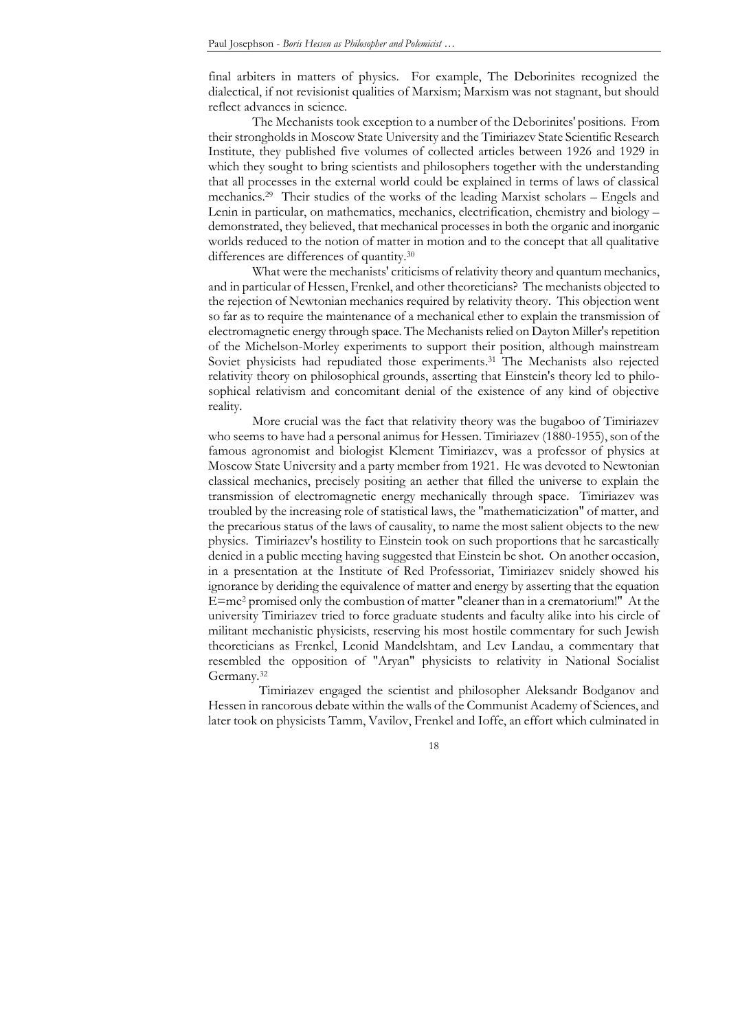final arbiters in matters of physics. For example, The Deborinites recognized the dialectical, if not revisionist qualities of Marxism; Marxism was not stagnant, but should reflect advances in science.

The Mechanists took exception to a number of the Deborinites' positions. From their strongholds in Moscow State University and the Timiriazev State Scientific Research Institute, they published five volumes of collected articles between 1926 and 1929 in which they sought to bring scientists and philosophers together with the understanding that all processes in the external world could be explained in terms of laws of classical mechanics.<sup>29</sup> Their studies of the works of the leading Marxist scholars – Engels and Lenin in particular, on mathematics, mechanics, electrification, chemistry and biology – demonstrated, they believed, that mechanical processes in both the organic and inorganic worlds reduced to the notion of matter in motion and to the concept that all qualitative differences are differences of quantity.<sup>30</sup>

What were the mechanists' criticisms of relativity theory and quantum mechanics, and in particular of Hessen, Frenkel, and other theoreticians? The mechanists objected to the rejection of Newtonian mechanics required by relativity theory. This objection went so far as to require the maintenance of a mechanical ether to explain the transmission of electromagnetic energy through space. The Mechanists relied on Dayton Miller's repetition of the Michelson-Morley experiments to support their position, although mainstream Soviet physicists had repudiated those experiments. <sup>31</sup> The Mechanists also rejected relativity theory on philosophical grounds, asserting that Einstein's theory led to philosophical relativism and concomitant denial of the existence of any kind of objective reality.

More crucial was the fact that relativity theory was the bugaboo of Timiriazev who seems to have had a personal animus for Hessen. Timiriazev (1880-1955), son of the famous agronomist and biologist Klement Timiriazev, was a professor of physics at Moscow State University and a party member from 1921. He was devoted to Newtonian classical mechanics, precisely positing an aether that filled the universe to explain the transmission of electromagnetic energy mechanically through space. Timiriazev was troubled by the increasing role of statistical laws, the "mathematicization" of matter, and the precarious status of the laws of causality, to name the most salient objects to the new physics. Timiriazev's hostility to Einstein took on such proportions that he sarcastically denied in a public meeting having suggested that Einstein be shot. On another occasion, in a presentation at the Institute of Red Professoriat, Timiriazev snidely showed his ignorance by deriding the equivalence of matter and energy by asserting that the equation E=mc<sup>2</sup> promised only the combustion of matter "cleaner than in a crematorium!" At the university Timiriazev tried to force graduate students and faculty alike into his circle of militant mechanistic physicists, reserving his most hostile commentary for such Jewish theoreticians as Frenkel, Leonid Mandelshtam, and Lev Landau, a commentary that resembled the opposition of "Aryan" physicists to relativity in National Socialist Germany.<sup>32</sup>

 Timiriazev engaged the scientist and philosopher Aleksandr Bodganov and Hessen in rancorous debate within the walls of the Communist Academy of Sciences, and later took on physicists Tamm, Vavilov, Frenkel and Ioffe, an effort which culminated in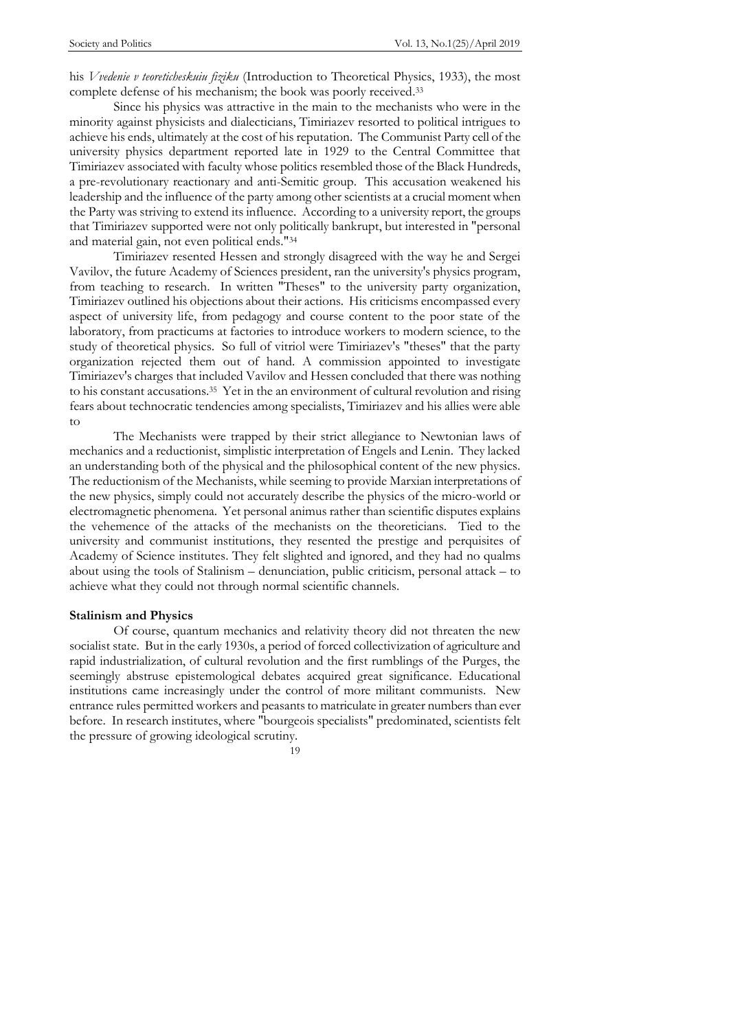his *Vvedenie v teoreticheskuiu fiziku* (Introduction to Theoretical Physics, 1933), the most complete defense of his mechanism; the book was poorly received. 33

Since his physics was attractive in the main to the mechanists who were in the minority against physicists and dialecticians, Timiriazev resorted to political intrigues to achieve his ends, ultimately at the cost of his reputation. The Communist Party cell of the university physics department reported late in 1929 to the Central Committee that Timiriazev associated with faculty whose politics resembled those of the Black Hundreds, a pre-revolutionary reactionary and anti-Semitic group. This accusation weakened his leadership and the influence of the party among other scientists at a crucial moment when the Party was striving to extend its influence. According to a university report, the groups that Timiriazev supported were not only politically bankrupt, but interested in "personal and material gain, not even political ends."<sup>34</sup>

Timiriazev resented Hessen and strongly disagreed with the way he and Sergei Vavilov, the future Academy of Sciences president, ran the university's physics program, from teaching to research. In written "Theses" to the university party organization, Timiriazev outlined his objections about their actions. His criticisms encompassed every aspect of university life, from pedagogy and course content to the poor state of the laboratory, from practicums at factories to introduce workers to modern science, to the study of theoretical physics. So full of vitriol were Timiriazev's "theses" that the party organization rejected them out of hand. A commission appointed to investigate Timiriazev's charges that included Vavilov and Hessen concluded that there was nothing to his constant accusations. 35 Yet in the an environment of cultural revolution and rising fears about technocratic tendencies among specialists, Timiriazev and his allies were able to

The Mechanists were trapped by their strict allegiance to Newtonian laws of mechanics and a reductionist, simplistic interpretation of Engels and Lenin. They lacked an understanding both of the physical and the philosophical content of the new physics. The reductionism of the Mechanists, while seeming to provide Marxian interpretations of the new physics, simply could not accurately describe the physics of the micro-world or electromagnetic phenomena. Yet personal animus rather than scientific disputes explains the vehemence of the attacks of the mechanists on the theoreticians. Tied to the university and communist institutions, they resented the prestige and perquisites of Academy of Science institutes. They felt slighted and ignored, and they had no qualms about using the tools of Stalinism – denunciation, public criticism, personal attack – to achieve what they could not through normal scientific channels.

#### **Stalinism and Physics**

Of course, quantum mechanics and relativity theory did not threaten the new socialist state. But in the early 1930s, a period of forced collectivization of agriculture and rapid industrialization, of cultural revolution and the first rumblings of the Purges, the seemingly abstruse epistemological debates acquired great significance. Educational institutions came increasingly under the control of more militant communists. New entrance rules permitted workers and peasants to matriculate in greater numbers than ever before. In research institutes, where "bourgeois specialists" predominated, scientists felt the pressure of growing ideological scrutiny.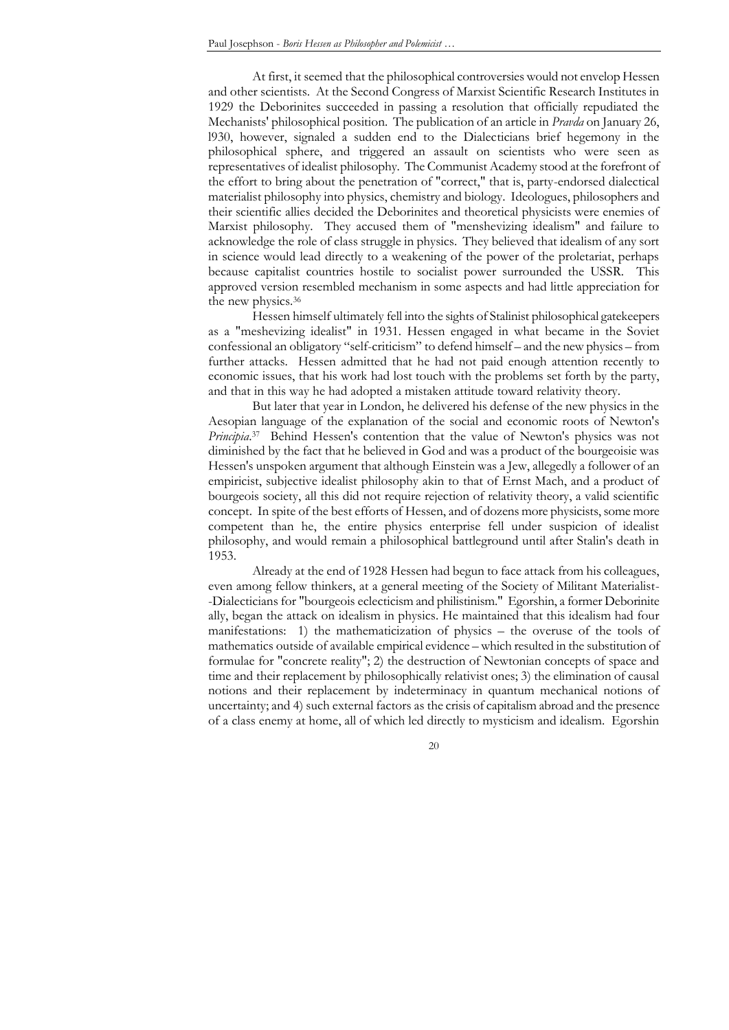At first, it seemed that the philosophical controversies would not envelop Hessen and other scientists. At the Second Congress of Marxist Scientific Research Institutes in 1929 the Deborinites succeeded in passing a resolution that officially repudiated the Mechanists' philosophical position. The publication of an article in *Pravda* on January 26, l930, however, signaled a sudden end to the Dialecticians brief hegemony in the philosophical sphere, and triggered an assault on scientists who were seen as representatives of idealist philosophy. The Communist Academy stood at the forefront of the effort to bring about the penetration of "correct," that is, party-endorsed dialectical materialist philosophy into physics, chemistry and biology. Ideologues, philosophers and their scientific allies decided the Deborinites and theoretical physicists were enemies of Marxist philosophy. They accused them of "menshevizing idealism" and failure to acknowledge the role of class struggle in physics. They believed that idealism of any sort in science would lead directly to a weakening of the power of the proletariat, perhaps because capitalist countries hostile to socialist power surrounded the USSR. This approved version resembled mechanism in some aspects and had little appreciation for the new physics.<sup>36</sup>

Hessen himself ultimately fell into the sights of Stalinist philosophical gatekeepers as a "meshevizing idealist" in 1931. Hessen engaged in what became in the Soviet confessional an obligatory "self-criticism" to defend himself – and the new physics – from further attacks. Hessen admitted that he had not paid enough attention recently to economic issues, that his work had lost touch with the problems set forth by the party, and that in this way he had adopted a mistaken attitude toward relativity theory.

But later that year in London, he delivered his defense of the new physics in the Aesopian language of the explanation of the social and economic roots of Newton's *Principia*. 37 Behind Hessen's contention that the value of Newton's physics was not diminished by the fact that he believed in God and was a product of the bourgeoisie was Hessen's unspoken argument that although Einstein was a Jew, allegedly a follower of an empiricist, subjective idealist philosophy akin to that of Ernst Mach, and a product of bourgeois society, all this did not require rejection of relativity theory, a valid scientific concept. In spite of the best efforts of Hessen, and of dozens more physicists, some more competent than he, the entire physics enterprise fell under suspicion of idealist philosophy, and would remain a philosophical battleground until after Stalin's death in 1953.

Already at the end of 1928 Hessen had begun to face attack from his colleagues, even among fellow thinkers, at a general meeting of the Society of Militant Materialist- -Dialecticians for "bourgeois eclecticism and philistinism." Egorshin, a former Deborinite ally, began the attack on idealism in physics. He maintained that this idealism had four manifestations: 1) the mathematicization of physics – the overuse of the tools of mathematics outside of available empirical evidence – which resulted in the substitution of formulae for "concrete reality"; 2) the destruction of Newtonian concepts of space and time and their replacement by philosophically relativist ones; 3) the elimination of causal notions and their replacement by indeterminacy in quantum mechanical notions of uncertainty; and 4) such external factors as the crisis of capitalism abroad and the presence of a class enemy at home, all of which led directly to mysticism and idealism. Egorshin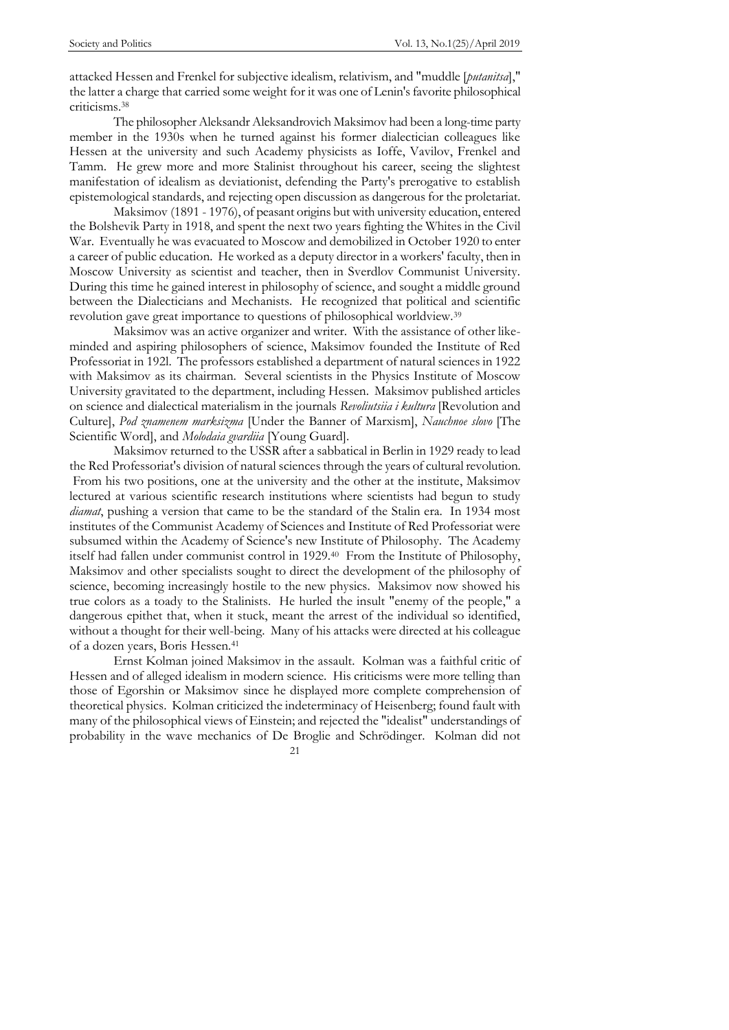attacked Hessen and Frenkel for subjective idealism, relativism, and "muddle [*putanitsa*]," the latter a charge that carried some weight for it was one of Lenin's favorite philosophical criticisms.<sup>38</sup>

The philosopher Aleksandr Aleksandrovich Maksimov had been a long-time party member in the 1930s when he turned against his former dialectician colleagues like Hessen at the university and such Academy physicists as Ioffe, Vavilov, Frenkel and Tamm. He grew more and more Stalinist throughout his career, seeing the slightest manifestation of idealism as deviationist, defending the Party's prerogative to establish epistemological standards, and rejecting open discussion as dangerous for the proletariat.

Maksimov (1891 - 1976), of peasant origins but with university education, entered the Bolshevik Party in 1918, and spent the next two years fighting the Whites in the Civil War. Eventually he was evacuated to Moscow and demobilized in October 1920 to enter a career of public education. He worked as a deputy director in a workers' faculty, then in Moscow University as scientist and teacher, then in Sverdlov Communist University. During this time he gained interest in philosophy of science, and sought a middle ground between the Dialecticians and Mechanists. He recognized that political and scientific revolution gave great importance to questions of philosophical worldview.<sup>39</sup>

Maksimov was an active organizer and writer. With the assistance of other likeminded and aspiring philosophers of science, Maksimov founded the Institute of Red Professoriat in 192l. The professors established a department of natural sciences in 1922 with Maksimov as its chairman. Several scientists in the Physics Institute of Moscow University gravitated to the department, including Hessen. Maksimov published articles on science and dialectical materialism in the journals *Revoliutsiia i kultura* [Revolution and Culture], *Pod znamenem marksizma* [Under the Banner of Marxism], *Nauchnoe slovo* [The Scientific Word], and *Molodaia gvardiia* [Young Guard].

Maksimov returned to the USSR after a sabbatical in Berlin in 1929 ready to lead the Red Professoriat's division of natural sciences through the years of cultural revolution. From his two positions, one at the university and the other at the institute, Maksimov lectured at various scientific research institutions where scientists had begun to study *diamat*, pushing a version that came to be the standard of the Stalin era. In 1934 most institutes of the Communist Academy of Sciences and Institute of Red Professoriat were subsumed within the Academy of Science's new Institute of Philosophy. The Academy itself had fallen under communist control in 1929.<sup>40</sup> From the Institute of Philosophy, Maksimov and other specialists sought to direct the development of the philosophy of science, becoming increasingly hostile to the new physics. Maksimov now showed his true colors as a toady to the Stalinists. He hurled the insult "enemy of the people," a dangerous epithet that, when it stuck, meant the arrest of the individual so identified, without a thought for their well-being. Many of his attacks were directed at his colleague of a dozen years, Boris Hessen. 41

21 Ernst Kolman joined Maksimov in the assault. Kolman was a faithful critic of Hessen and of alleged idealism in modern science. His criticisms were more telling than those of Egorshin or Maksimov since he displayed more complete comprehension of theoretical physics. Kolman criticized the indeterminacy of Heisenberg; found fault with many of the philosophical views of Einstein; and rejected the "idealist" understandings of probability in the wave mechanics of De Broglie and Schrödinger. Kolman did not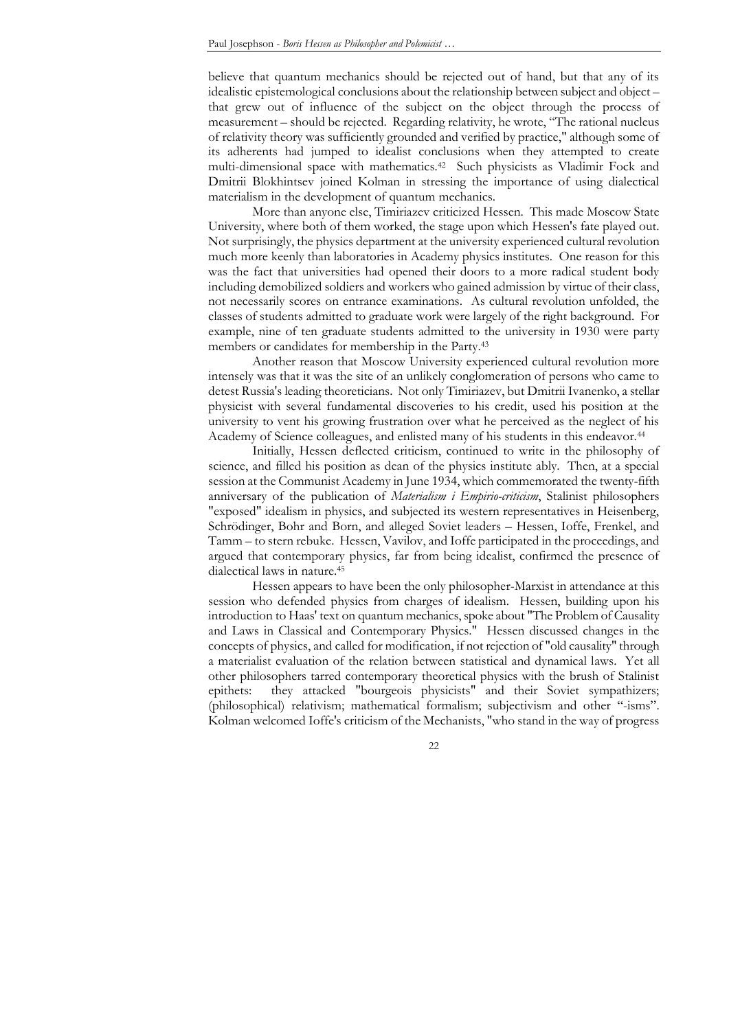believe that quantum mechanics should be rejected out of hand, but that any of its idealistic epistemological conclusions about the relationship between subject and object – that grew out of influence of the subject on the object through the process of measurement – should be rejected. Regarding relativity, he wrote, "The rational nucleus of relativity theory was sufficiently grounded and verified by practice," although some of its adherents had jumped to idealist conclusions when they attempted to create multi-dimensional space with mathematics.<sup>42</sup> Such physicists as Vladimir Fock and Dmitrii Blokhintsev joined Kolman in stressing the importance of using dialectical materialism in the development of quantum mechanics.

More than anyone else, Timiriazev criticized Hessen. This made Moscow State University, where both of them worked, the stage upon which Hessen's fate played out. Not surprisingly, the physics department at the university experienced cultural revolution much more keenly than laboratories in Academy physics institutes. One reason for this was the fact that universities had opened their doors to a more radical student body including demobilized soldiers and workers who gained admission by virtue of their class, not necessarily scores on entrance examinations. As cultural revolution unfolded, the classes of students admitted to graduate work were largely of the right background. For example, nine of ten graduate students admitted to the university in 1930 were party members or candidates for membership in the Party. 43

Another reason that Moscow University experienced cultural revolution more intensely was that it was the site of an unlikely conglomeration of persons who came to detest Russia's leading theoreticians. Not only Timiriazev, but Dmitrii Ivanenko, a stellar physicist with several fundamental discoveries to his credit, used his position at the university to vent his growing frustration over what he perceived as the neglect of his Academy of Science colleagues, and enlisted many of his students in this endeavor.<sup>44</sup>

Initially, Hessen deflected criticism, continued to write in the philosophy of science, and filled his position as dean of the physics institute ably. Then, at a special session at the Communist Academy in June 1934, which commemorated the twenty-fifth anniversary of the publication of *Materialism i Empirio-criticism*, Stalinist philosophers "exposed" idealism in physics, and subjected its western representatives in Heisenberg, Schrödinger, Bohr and Born, and alleged Soviet leaders – Hessen, Ioffe, Frenkel, and Tamm – to stern rebuke. Hessen, Vavilov, and Ioffe participated in the proceedings, and argued that contemporary physics, far from being idealist, confirmed the presence of dialectical laws in nature.<sup>45</sup>

Hessen appears to have been the only philosopher-Marxist in attendance at this session who defended physics from charges of idealism. Hessen, building upon his introduction to Haas' text on quantum mechanics, spoke about "The Problem of Causality and Laws in Classical and Contemporary Physics." Hessen discussed changes in the concepts of physics, and called for modification, if not rejection of "old causality" through a materialist evaluation of the relation between statistical and dynamical laws. Yet all other philosophers tarred contemporary theoretical physics with the brush of Stalinist epithets: they attacked "bourgeois physicists" and their Soviet sympathizers; (philosophical) relativism; mathematical formalism; subjectivism and other "-isms". Kolman welcomed Ioffe's criticism of the Mechanists, "who stand in the way of progress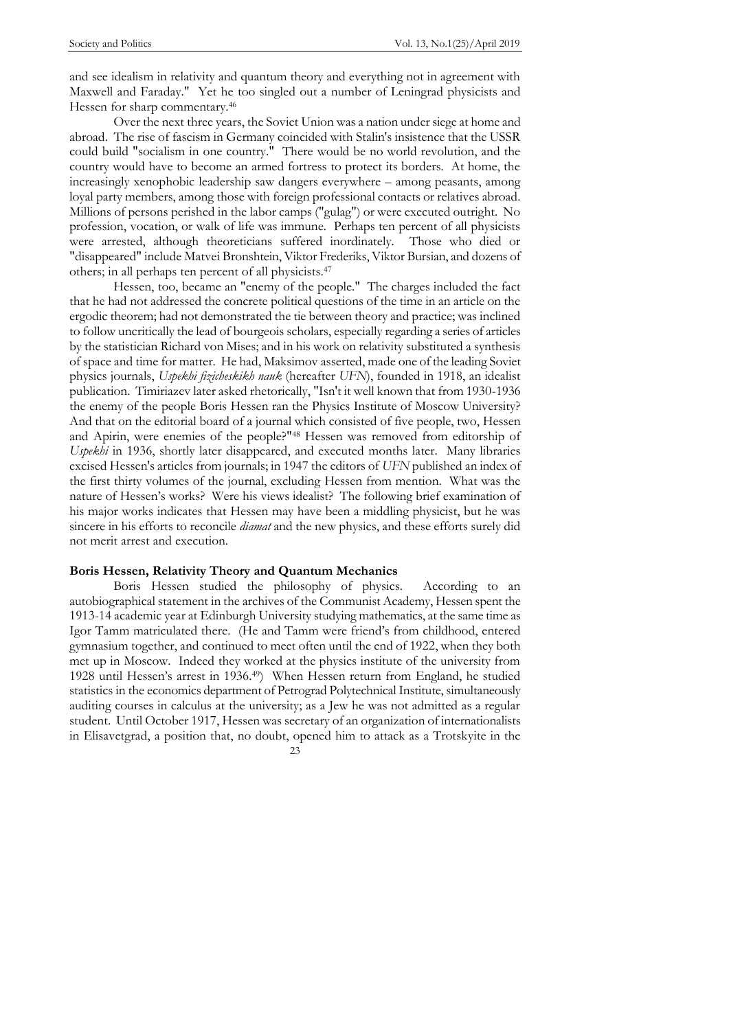and see idealism in relativity and quantum theory and everything not in agreement with Maxwell and Faraday." Yet he too singled out a number of Leningrad physicists and Hessen for sharp commentary. 46

Over the next three years, the Soviet Union was a nation under siege at home and abroad. The rise of fascism in Germany coincided with Stalin's insistence that the USSR could build "socialism in one country." There would be no world revolution, and the country would have to become an armed fortress to protect its borders. At home, the increasingly xenophobic leadership saw dangers everywhere – among peasants, among loyal party members, among those with foreign professional contacts or relatives abroad. Millions of persons perished in the labor camps ("gulag") or were executed outright. No profession, vocation, or walk of life was immune. Perhaps ten percent of all physicists were arrested, although theoreticians suffered inordinately. Those who died or "disappeared" include Matvei Bronshtein, Viktor Frederiks, Viktor Bursian, and dozens of others; in all perhaps ten percent of all physicists.<sup>47</sup>

Hessen, too, became an "enemy of the people." The charges included the fact that he had not addressed the concrete political questions of the time in an article on the ergodic theorem; had not demonstrated the tie between theory and practice; was inclined to follow uncritically the lead of bourgeois scholars, especially regarding a series of articles by the statistician Richard von Mises; and in his work on relativity substituted a synthesis of space and time for matter. He had, Maksimov asserted, made one of the leading Soviet physics journals, *Uspekhi fizicheskikh nauk* (hereafter *UFN*), founded in 1918, an idealist publication. Timiriazev later asked rhetorically, "Isn't it well known that from 1930-1936 the enemy of the people Boris Hessen ran the Physics Institute of Moscow University? And that on the editorial board of a journal which consisted of five people, two, Hessen and Apirin, were enemies of the people?"<sup>48</sup> Hessen was removed from editorship of *Uspekhi* in 1936, shortly later disappeared, and executed months later. Many libraries excised Hessen's articles from journals; in 1947 the editors of *UFN* published an index of the first thirty volumes of the journal, excluding Hessen from mention. What was the nature of Hessen's works? Were his views idealist? The following brief examination of his major works indicates that Hessen may have been a middling physicist, but he was sincere in his efforts to reconcile *diamat* and the new physics, and these efforts surely did not merit arrest and execution.

## **Boris Hessen, Relativity Theory and Quantum Mechanics**

23 Boris Hessen studied the philosophy of physics. According to an autobiographical statement in the archives of the Communist Academy, Hessen spent the 1913-14 academic year at Edinburgh University studying mathematics, at the same time as Igor Tamm matriculated there. (He and Tamm were friend's from childhood, entered gymnasium together, and continued to meet often until the end of 1922, when they both met up in Moscow. Indeed they worked at the physics institute of the university from 1928 until Hessen's arrest in 1936.49) When Hessen return from England, he studied statistics in the economics department of Petrograd Polytechnical Institute, simultaneously auditing courses in calculus at the university; as a Jew he was not admitted as a regular student. Until October 1917, Hessen was secretary of an organization of internationalists in Elisavetgrad, a position that, no doubt, opened him to attack as a Trotskyite in the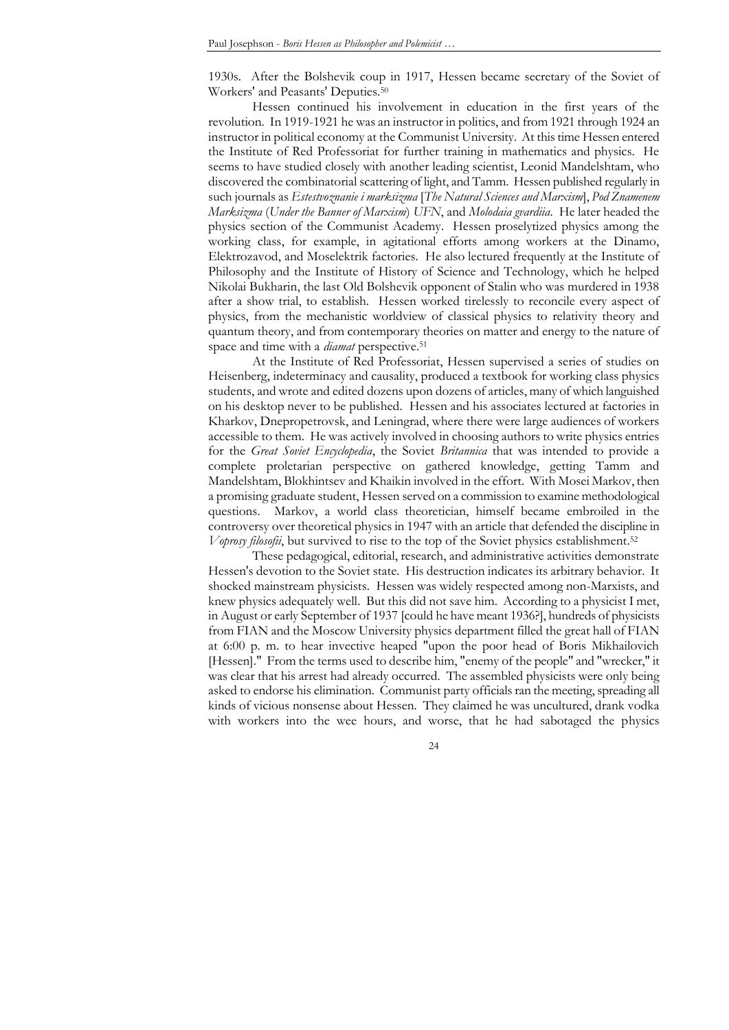1930s. After the Bolshevik coup in 1917, Hessen became secretary of the Soviet of Workers' and Peasants' Deputies.<sup>50</sup>

Hessen continued his involvement in education in the first years of the revolution. In 1919-1921 he was an instructor in politics, and from 1921 through 1924 an instructor in political economy at the Communist University. At this time Hessen entered the Institute of Red Professoriat for further training in mathematics and physics. He seems to have studied closely with another leading scientist, Leonid Mandelshtam, who discovered the combinatorial scattering of light, and Tamm. Hessen published regularly in such journals as *Estestvoznanie i marksizma* [*The Natural Sciences and Marxism*], *Pod Znamenem Marksizma* (*Under the Banner of Marxism*) *UFN*, and *Molodaia gvardiia*. He later headed the physics section of the Communist Academy. Hessen proselytized physics among the working class, for example, in agitational efforts among workers at the Dinamo, Elektrozavod, and Moselektrik factories. He also lectured frequently at the Institute of Philosophy and the Institute of History of Science and Technology, which he helped Nikolai Bukharin, the last Old Bolshevik opponent of Stalin who was murdered in 1938 after a show trial, to establish. Hessen worked tirelessly to reconcile every aspect of physics, from the mechanistic worldview of classical physics to relativity theory and quantum theory, and from contemporary theories on matter and energy to the nature of space and time with a *diamat* perspective.<sup>51</sup>

At the Institute of Red Professoriat, Hessen supervised a series of studies on Heisenberg, indeterminacy and causality, produced a textbook for working class physics students, and wrote and edited dozens upon dozens of articles, many of which languished on his desktop never to be published. Hessen and his associates lectured at factories in Kharkov, Dnepropetrovsk, and Leningrad, where there were large audiences of workers accessible to them. He was actively involved in choosing authors to write physics entries for the *Great Soviet Encyclopedia*, the Soviet *Britannica* that was intended to provide a complete proletarian perspective on gathered knowledge, getting Tamm and Mandelshtam, Blokhintsev and Khaikin involved in the effort. With Mosei Markov, then a promising graduate student, Hessen served on a commission to examine methodological questions. Markov, a world class theoretician, himself became embroiled in the controversy over theoretical physics in 1947 with an article that defended the discipline in *Voprosy filosofii*, but survived to rise to the top of the Soviet physics establishment. 52

These pedagogical, editorial, research, and administrative activities demonstrate Hessen's devotion to the Soviet state. His destruction indicates its arbitrary behavior. It shocked mainstream physicists. Hessen was widely respected among non-Marxists, and knew physics adequately well. But this did not save him. According to a physicist I met, in August or early September of 1937 [could he have meant 1936?], hundreds of physicists from FIAN and the Moscow University physics department filled the great hall of FIAN at 6:00 p. m. to hear invective heaped "upon the poor head of Boris Mikhailovich [Hessen]." From the terms used to describe him, "enemy of the people" and "wrecker," it was clear that his arrest had already occurred. The assembled physicists were only being asked to endorse his elimination. Communist party officials ran the meeting, spreading all kinds of vicious nonsense about Hessen. They claimed he was uncultured, drank vodka with workers into the wee hours, and worse, that he had sabotaged the physics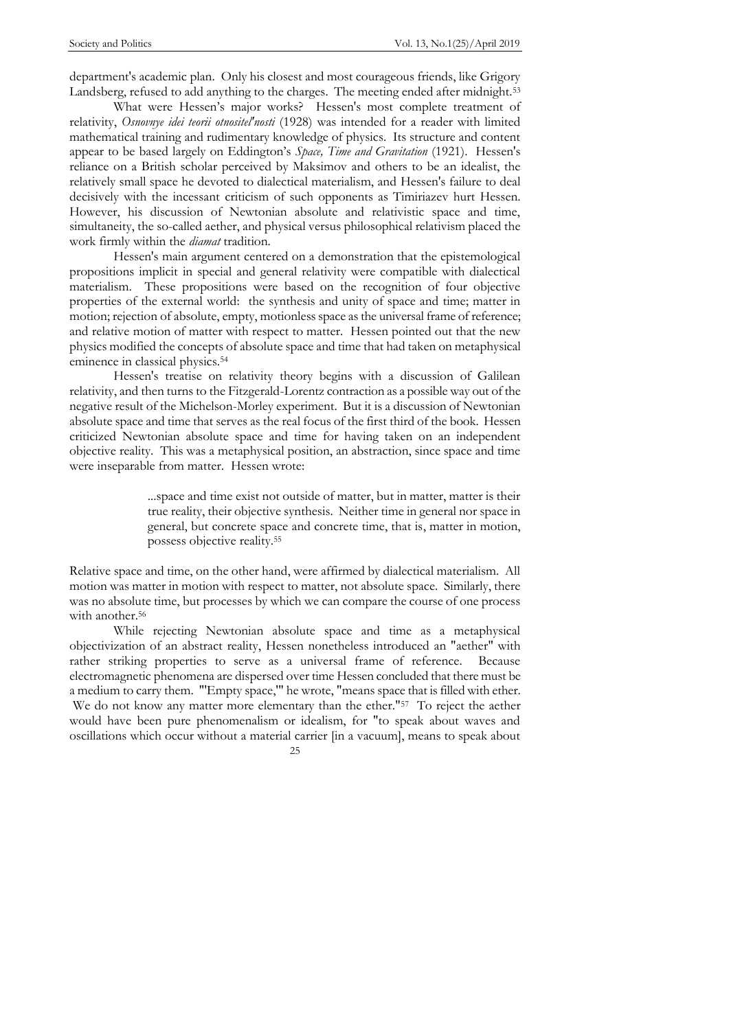department's academic plan. Only his closest and most courageous friends, like Grigory Landsberg, refused to add anything to the charges. The meeting ended after midnight.<sup>53</sup>

What were Hessen's major works? Hessen's most complete treatment of relativity, *Osnovnye idei teorii otnositel'nosti* (1928) was intended for a reader with limited mathematical training and rudimentary knowledge of physics. Its structure and content appear to be based largely on Eddington's *Space, Time and Gravitation* (1921). Hessen's reliance on a British scholar perceived by Maksimov and others to be an idealist, the relatively small space he devoted to dialectical materialism, and Hessen's failure to deal decisively with the incessant criticism of such opponents as Timiriazev hurt Hessen. However, his discussion of Newtonian absolute and relativistic space and time, simultaneity, the so-called aether, and physical versus philosophical relativism placed the work firmly within the *diamat* tradition.

Hessen's main argument centered on a demonstration that the epistemological propositions implicit in special and general relativity were compatible with dialectical materialism. These propositions were based on the recognition of four objective properties of the external world: the synthesis and unity of space and time; matter in motion; rejection of absolute, empty, motionless space as the universal frame of reference; and relative motion of matter with respect to matter. Hessen pointed out that the new physics modified the concepts of absolute space and time that had taken on metaphysical eminence in classical physics.<sup>54</sup>

Hessen's treatise on relativity theory begins with a discussion of Galilean relativity, and then turns to the Fitzgerald-Lorentz contraction as a possible way out of the negative result of the Michelson-Morley experiment. But it is a discussion of Newtonian absolute space and time that serves as the real focus of the first third of the book. Hessen criticized Newtonian absolute space and time for having taken on an independent objective reality. This was a metaphysical position, an abstraction, since space and time were inseparable from matter. Hessen wrote:

> ...space and time exist not outside of matter, but in matter, matter is their true reality, their objective synthesis. Neither time in general nor space in general, but concrete space and concrete time, that is, matter in motion, possess objective reality.<sup>55</sup>

Relative space and time, on the other hand, were affirmed by dialectical materialism. All motion was matter in motion with respect to matter, not absolute space. Similarly, there was no absolute time, but processes by which we can compare the course of one process with another.<sup>56</sup>

While rejecting Newtonian absolute space and time as a metaphysical objectivization of an abstract reality, Hessen nonetheless introduced an "aether" with rather striking properties to serve as a universal frame of reference. Because electromagnetic phenomena are dispersed over time Hessen concluded that there must be a medium to carry them. "'Empty space,'" he wrote, "means space that is filled with ether. We do not know any matter more elementary than the ether."<sup>57</sup> To reject the aether would have been pure phenomenalism or idealism, for "to speak about waves and oscillations which occur without a material carrier [in a vacuum], means to speak about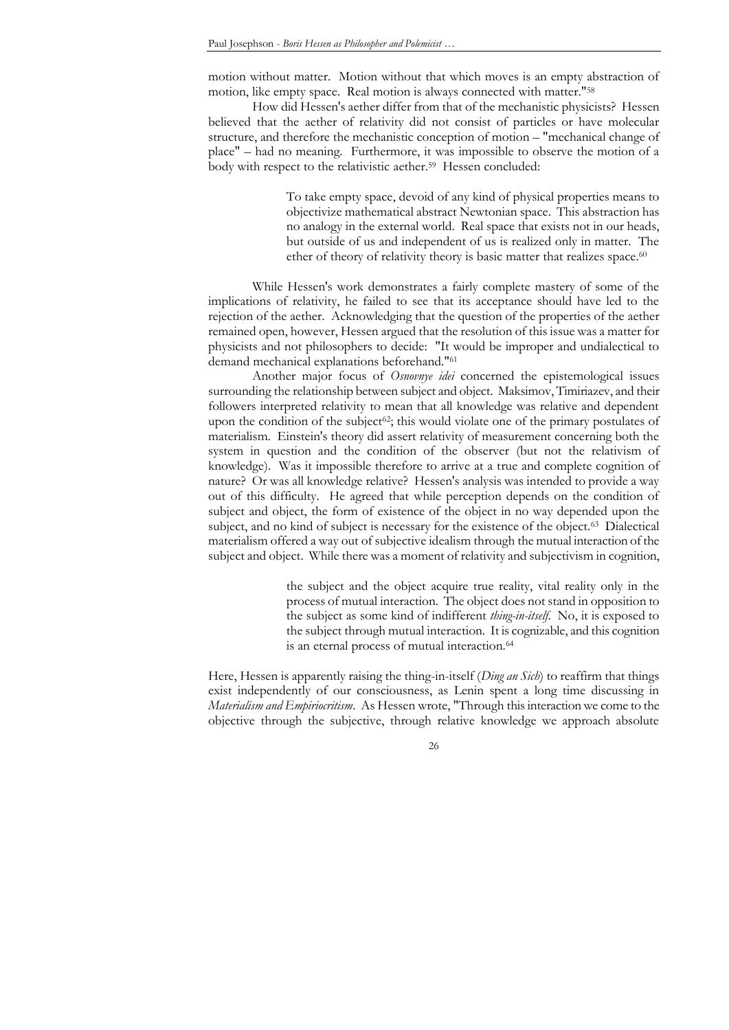motion without matter. Motion without that which moves is an empty abstraction of motion, like empty space. Real motion is always connected with matter."<sup>58</sup>

How did Hessen's aether differ from that of the mechanistic physicists? Hessen believed that the aether of relativity did not consist of particles or have molecular structure, and therefore the mechanistic conception of motion – "mechanical change of place" – had no meaning. Furthermore, it was impossible to observe the motion of a body with respect to the relativistic aether. 59 Hessen concluded:

> To take empty space, devoid of any kind of physical properties means to objectivize mathematical abstract Newtonian space. This abstraction has no analogy in the external world. Real space that exists not in our heads, but outside of us and independent of us is realized only in matter. The ether of theory of relativity theory is basic matter that realizes space.<sup>60</sup>

While Hessen's work demonstrates a fairly complete mastery of some of the implications of relativity, he failed to see that its acceptance should have led to the rejection of the aether. Acknowledging that the question of the properties of the aether remained open, however, Hessen argued that the resolution of this issue was a matter for physicists and not philosophers to decide: "It would be improper and undialectical to demand mechanical explanations beforehand."<sup>61</sup>

Another major focus of *Osnovnye idei* concerned the epistemological issues surrounding the relationship between subject and object. Maksimov, Timiriazev, and their followers interpreted relativity to mean that all knowledge was relative and dependent upon the condition of the subject<sup>62</sup>; this would violate one of the primary postulates of materialism. Einstein's theory did assert relativity of measurement concerning both the system in question and the condition of the observer (but not the relativism of knowledge). Was it impossible therefore to arrive at a true and complete cognition of nature? Or was all knowledge relative? Hessen's analysis was intended to provide a way out of this difficulty. He agreed that while perception depends on the condition of subject and object, the form of existence of the object in no way depended upon the subject, and no kind of subject is necessary for the existence of the object.<sup>63</sup> Dialectical materialism offered a way out of subjective idealism through the mutual interaction of the subject and object. While there was a moment of relativity and subjectivism in cognition,

> the subject and the object acquire true reality, vital reality only in the process of mutual interaction. The object does not stand in opposition to the subject as some kind of indifferent *thing-in-itself*. No, it is exposed to the subject through mutual interaction. It is cognizable, and this cognition is an eternal process of mutual interaction.<sup>64</sup>

Here, Hessen is apparently raising the thing-in-itself (*Ding an Sich*) to reaffirm that things exist independently of our consciousness, as Lenin spent a long time discussing in *Materialism and Empiriocritism*. As Hessen wrote, "Through this interaction we come to the objective through the subjective, through relative knowledge we approach absolute

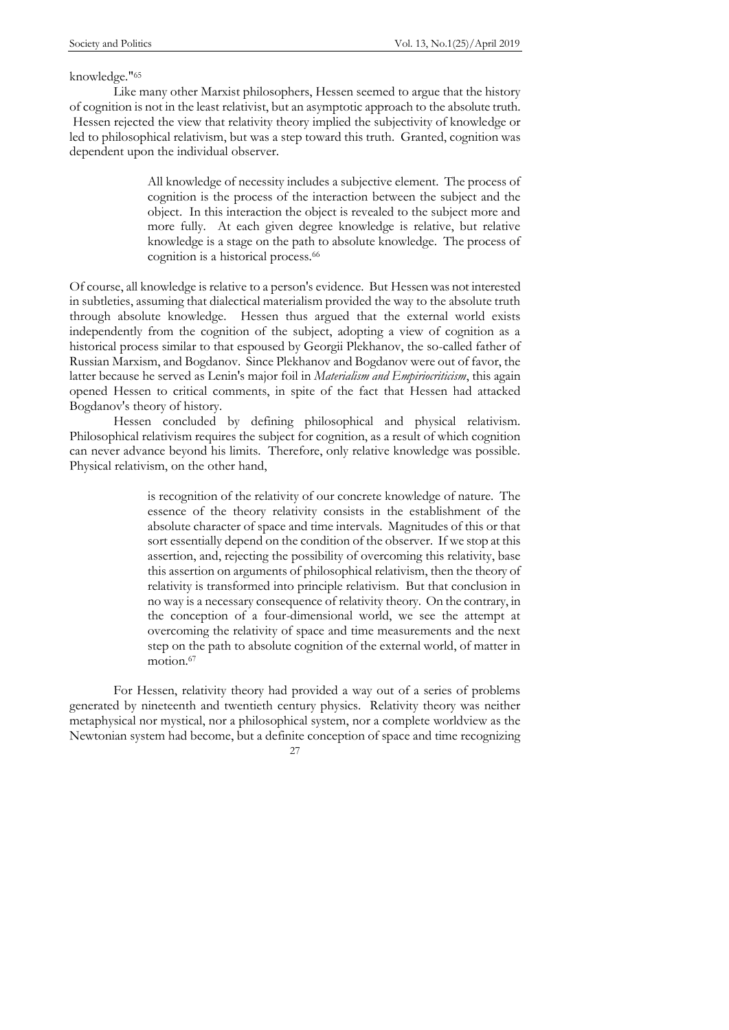#### knowledge."<sup>65</sup>

Like many other Marxist philosophers, Hessen seemed to argue that the history of cognition is not in the least relativist, but an asymptotic approach to the absolute truth. Hessen rejected the view that relativity theory implied the subjectivity of knowledge or led to philosophical relativism, but was a step toward this truth. Granted, cognition was dependent upon the individual observer.

> All knowledge of necessity includes a subjective element. The process of cognition is the process of the interaction between the subject and the object. In this interaction the object is revealed to the subject more and more fully. At each given degree knowledge is relative, but relative knowledge is a stage on the path to absolute knowledge. The process of cognition is a historical process.<sup>66</sup>

Of course, all knowledge is relative to a person's evidence. But Hessen was not interested in subtleties, assuming that dialectical materialism provided the way to the absolute truth through absolute knowledge. Hessen thus argued that the external world exists independently from the cognition of the subject, adopting a view of cognition as a historical process similar to that espoused by Georgii Plekhanov, the so-called father of Russian Marxism, and Bogdanov. Since Plekhanov and Bogdanov were out of favor, the latter because he served as Lenin's major foil in *Materialism and Empiriocriticism*, this again opened Hessen to critical comments, in spite of the fact that Hessen had attacked Bogdanov's theory of history.

Hessen concluded by defining philosophical and physical relativism. Philosophical relativism requires the subject for cognition, as a result of which cognition can never advance beyond his limits. Therefore, only relative knowledge was possible. Physical relativism, on the other hand,

> is recognition of the relativity of our concrete knowledge of nature. The essence of the theory relativity consists in the establishment of the absolute character of space and time intervals. Magnitudes of this or that sort essentially depend on the condition of the observer. If we stop at this assertion, and, rejecting the possibility of overcoming this relativity, base this assertion on arguments of philosophical relativism, then the theory of relativity is transformed into principle relativism. But that conclusion in no way is a necessary consequence of relativity theory. On the contrary, in the conception of a four-dimensional world, we see the attempt at overcoming the relativity of space and time measurements and the next step on the path to absolute cognition of the external world, of matter in motion.<sup>67</sup>

For Hessen, relativity theory had provided a way out of a series of problems generated by nineteenth and twentieth century physics. Relativity theory was neither metaphysical nor mystical, nor a philosophical system, nor a complete worldview as the Newtonian system had become, but a definite conception of space and time recognizing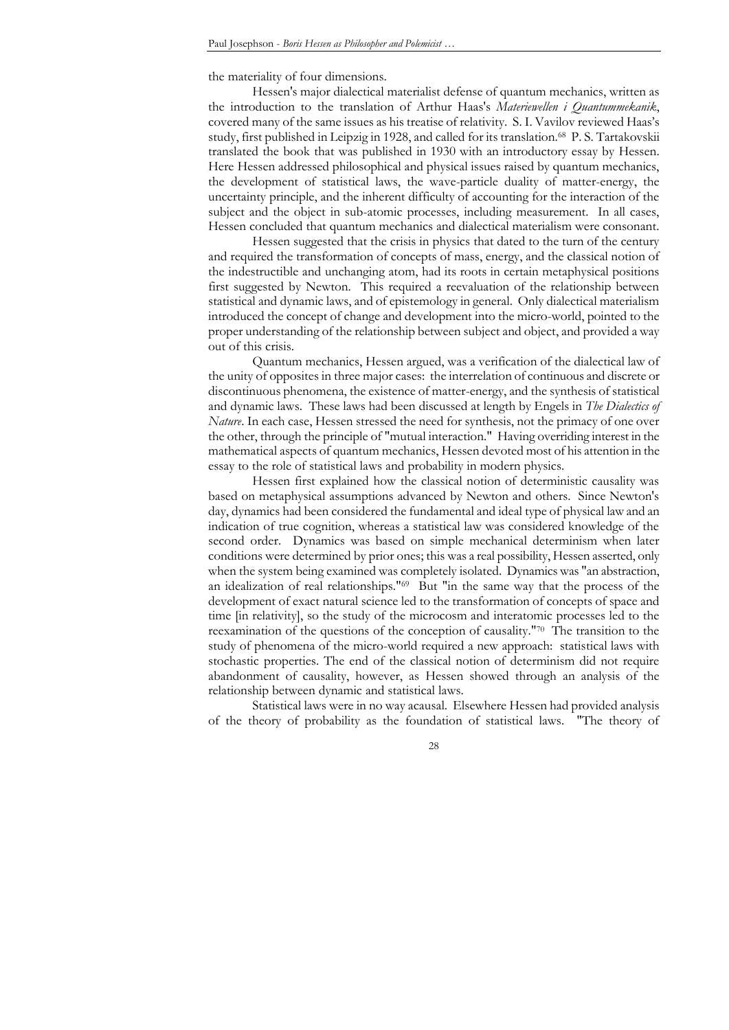the materiality of four dimensions.

Hessen's major dialectical materialist defense of quantum mechanics, written as the introduction to the translation of Arthur Haas's *Materiewellen i Quantummekanik*, covered many of the same issues as his treatise of relativity. S. I. Vavilov reviewed Haas's study, first published in Leipzig in 1928, and called for its translation.<sup>68</sup> P. S. Tartakovskii translated the book that was published in 1930 with an introductory essay by Hessen. Here Hessen addressed philosophical and physical issues raised by quantum mechanics, the development of statistical laws, the wave-particle duality of matter-energy, the uncertainty principle, and the inherent difficulty of accounting for the interaction of the subject and the object in sub-atomic processes, including measurement. In all cases, Hessen concluded that quantum mechanics and dialectical materialism were consonant.

Hessen suggested that the crisis in physics that dated to the turn of the century and required the transformation of concepts of mass, energy, and the classical notion of the indestructible and unchanging atom, had its roots in certain metaphysical positions first suggested by Newton. This required a reevaluation of the relationship between statistical and dynamic laws, and of epistemology in general. Only dialectical materialism introduced the concept of change and development into the micro-world, pointed to the proper understanding of the relationship between subject and object, and provided a way out of this crisis.

Quantum mechanics, Hessen argued, was a verification of the dialectical law of the unity of opposites in three major cases: the interrelation of continuous and discrete or discontinuous phenomena, the existence of matter-energy, and the synthesis of statistical and dynamic laws. These laws had been discussed at length by Engels in *The Dialectics of Nature*. In each case, Hessen stressed the need for synthesis, not the primacy of one over the other, through the principle of "mutual interaction." Having overriding interest in the mathematical aspects of quantum mechanics, Hessen devoted most of his attention in the essay to the role of statistical laws and probability in modern physics.

Hessen first explained how the classical notion of deterministic causality was based on metaphysical assumptions advanced by Newton and others. Since Newton's day, dynamics had been considered the fundamental and ideal type of physical law and an indication of true cognition, whereas a statistical law was considered knowledge of the second order. Dynamics was based on simple mechanical determinism when later conditions were determined by prior ones; this was a real possibility, Hessen asserted, only when the system being examined was completely isolated. Dynamics was "an abstraction, an idealization of real relationships."<sup>69</sup> But "in the same way that the process of the development of exact natural science led to the transformation of concepts of space and time [in relativity], so the study of the microcosm and interatomic processes led to the reexamination of the questions of the conception of causality."<sup>70</sup> The transition to the study of phenomena of the micro-world required a new approach: statistical laws with stochastic properties. The end of the classical notion of determinism did not require abandonment of causality, however, as Hessen showed through an analysis of the relationship between dynamic and statistical laws.

Statistical laws were in no way acausal. Elsewhere Hessen had provided analysis of the theory of probability as the foundation of statistical laws. "The theory of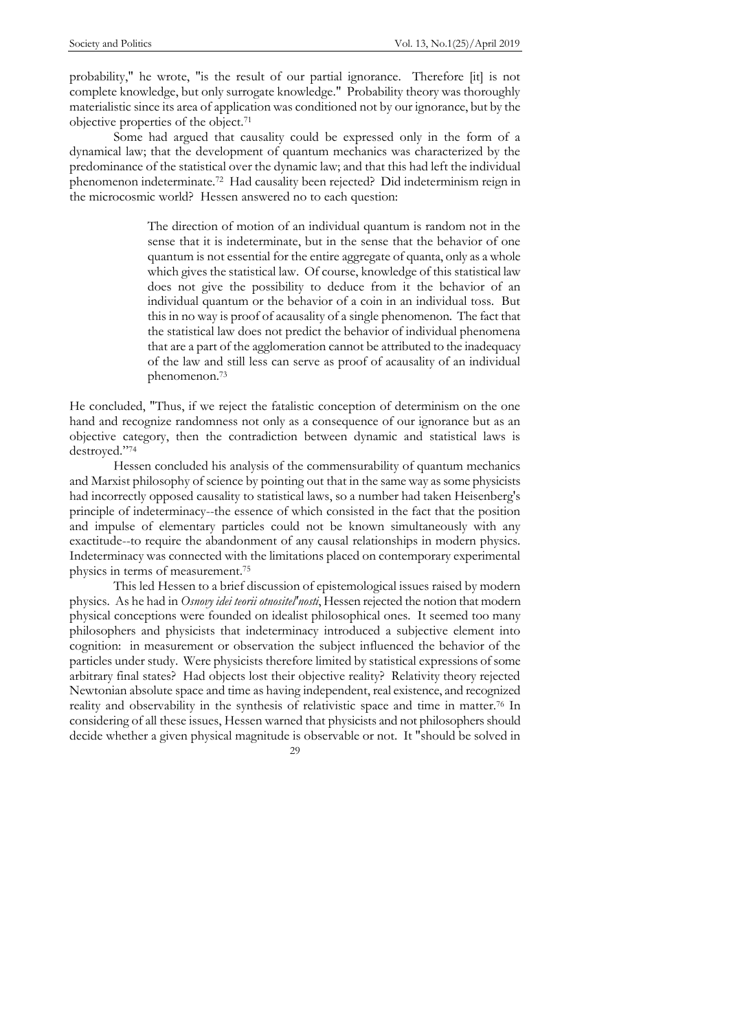probability," he wrote, "is the result of our partial ignorance. Therefore [it] is not complete knowledge, but only surrogate knowledge." Probability theory was thoroughly materialistic since its area of application was conditioned not by our ignorance, but by the objective properties of the object.<sup>71</sup>

Some had argued that causality could be expressed only in the form of a dynamical law; that the development of quantum mechanics was characterized by the predominance of the statistical over the dynamic law; and that this had left the individual phenomenon indeterminate.<sup>72</sup> Had causality been rejected? Did indeterminism reign in the microcosmic world? Hessen answered no to each question:

> The direction of motion of an individual quantum is random not in the sense that it is indeterminate, but in the sense that the behavior of one quantum is not essential for the entire aggregate of quanta, only as a whole which gives the statistical law. Of course, knowledge of this statistical law does not give the possibility to deduce from it the behavior of an individual quantum or the behavior of a coin in an individual toss. But this in no way is proof of acausality of a single phenomenon. The fact that the statistical law does not predict the behavior of individual phenomena that are a part of the agglomeration cannot be attributed to the inadequacy of the law and still less can serve as proof of acausality of an individual phenomenon.<sup>73</sup>

He concluded, "Thus, if we reject the fatalistic conception of determinism on the one hand and recognize randomness not only as a consequence of our ignorance but as an objective category, then the contradiction between dynamic and statistical laws is destroyed."74

Hessen concluded his analysis of the commensurability of quantum mechanics and Marxist philosophy of science by pointing out that in the same way as some physicists had incorrectly opposed causality to statistical laws, so a number had taken Heisenberg's principle of indeterminacy--the essence of which consisted in the fact that the position and impulse of elementary particles could not be known simultaneously with any exactitude--to require the abandonment of any causal relationships in modern physics. Indeterminacy was connected with the limitations placed on contemporary experimental physics in terms of measurement.<sup>75</sup>

This led Hessen to a brief discussion of epistemological issues raised by modern physics. As he had in *Osnovy idei teorii otnositel'nosti*, Hessen rejected the notion that modern physical conceptions were founded on idealist philosophical ones. It seemed too many philosophers and physicists that indeterminacy introduced a subjective element into cognition: in measurement or observation the subject influenced the behavior of the particles under study. Were physicists therefore limited by statistical expressions of some arbitrary final states? Had objects lost their objective reality? Relativity theory rejected Newtonian absolute space and time as having independent, real existence, and recognized reality and observability in the synthesis of relativistic space and time in matter.<sup>76</sup> In considering of all these issues, Hessen warned that physicists and not philosophers should decide whether a given physical magnitude is observable or not. It "should be solved in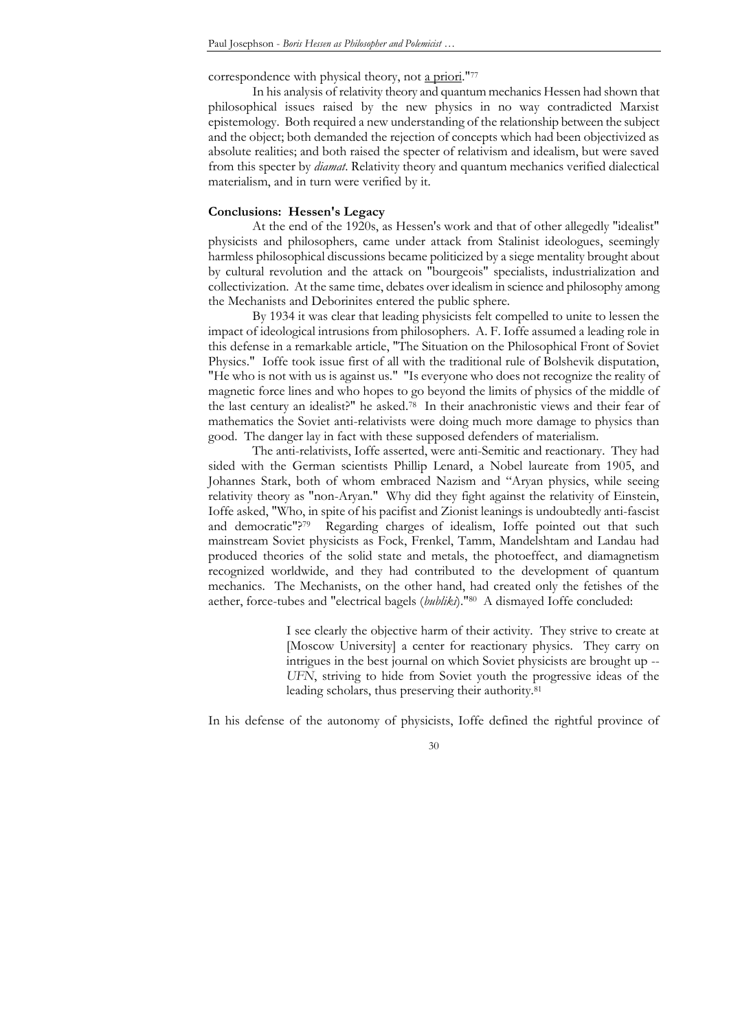correspondence with physical theory, not a priori."<sup>77</sup>

In his analysis of relativity theory and quantum mechanics Hessen had shown that philosophical issues raised by the new physics in no way contradicted Marxist epistemology. Both required a new understanding of the relationship between the subject and the object; both demanded the rejection of concepts which had been objectivized as absolute realities; and both raised the specter of relativism and idealism, but were saved from this specter by *diamat*. Relativity theory and quantum mechanics verified dialectical materialism, and in turn were verified by it.

## **Conclusions: Hessen's Legacy**

At the end of the 1920s, as Hessen's work and that of other allegedly "idealist" physicists and philosophers, came under attack from Stalinist ideologues, seemingly harmless philosophical discussions became politicized by a siege mentality brought about by cultural revolution and the attack on "bourgeois" specialists, industrialization and collectivization. At the same time, debates over idealism in science and philosophy among the Mechanists and Deborinites entered the public sphere.

By 1934 it was clear that leading physicists felt compelled to unite to lessen the impact of ideological intrusions from philosophers. A. F. Ioffe assumed a leading role in this defense in a remarkable article, "The Situation on the Philosophical Front of Soviet Physics." Ioffe took issue first of all with the traditional rule of Bolshevik disputation, "He who is not with us is against us." "Is everyone who does not recognize the reality of magnetic force lines and who hopes to go beyond the limits of physics of the middle of the last century an idealist?" he asked.<sup>78</sup> In their anachronistic views and their fear of mathematics the Soviet anti-relativists were doing much more damage to physics than good. The danger lay in fact with these supposed defenders of materialism.

The anti-relativists, Ioffe asserted, were anti-Semitic and reactionary. They had sided with the German scientists Phillip Lenard, a Nobel laureate from 1905, and Johannes Stark, both of whom embraced Nazism and "Aryan physics, while seeing relativity theory as "non-Aryan." Why did they fight against the relativity of Einstein, Ioffe asked, "Who, in spite of his pacifist and Zionist leanings is undoubtedly anti-fascist and democratic"?<sup>79</sup> Regarding charges of idealism, Ioffe pointed out that such mainstream Soviet physicists as Fock, Frenkel, Tamm, Mandelshtam and Landau had produced theories of the solid state and metals, the photoeffect, and diamagnetism recognized worldwide, and they had contributed to the development of quantum mechanics. The Mechanists, on the other hand, had created only the fetishes of the aether, force-tubes and "electrical bagels (*bubliki*)."<sup>80</sup> A dismayed Ioffe concluded:

> I see clearly the objective harm of their activity. They strive to create at [Moscow University] a center for reactionary physics. They carry on intrigues in the best journal on which Soviet physicists are brought up -- *UFN*, striving to hide from Soviet youth the progressive ideas of the leading scholars, thus preserving their authority.<sup>81</sup>

In his defense of the autonomy of physicists, Ioffe defined the rightful province of

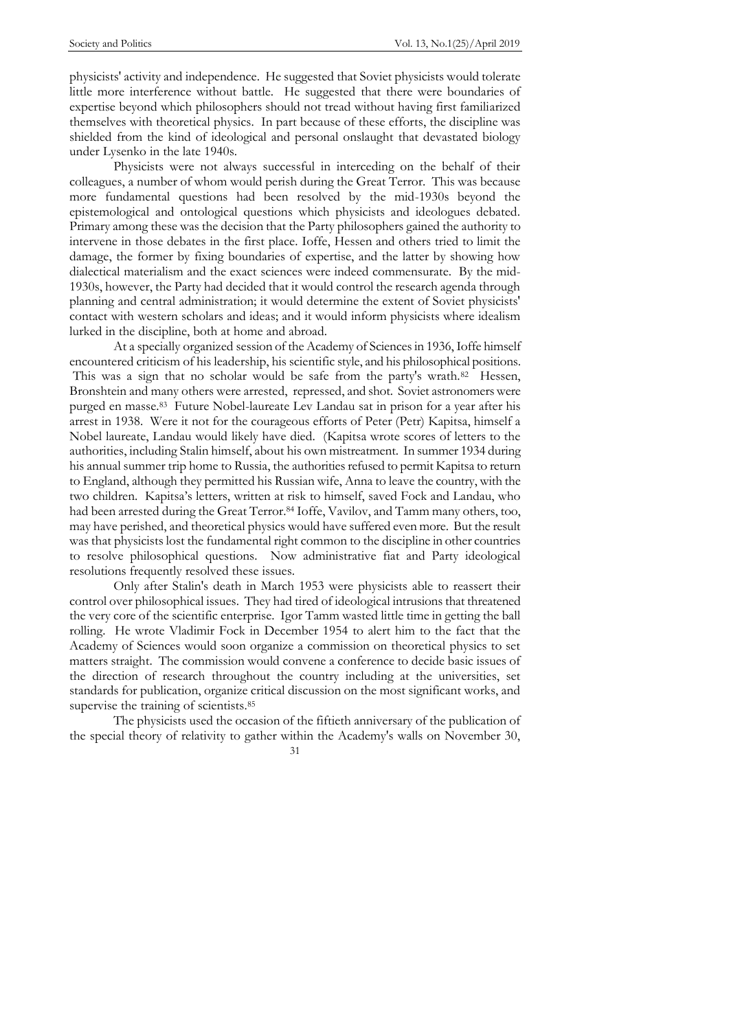physicists' activity and independence. He suggested that Soviet physicists would tolerate little more interference without battle. He suggested that there were boundaries of expertise beyond which philosophers should not tread without having first familiarized themselves with theoretical physics. In part because of these efforts, the discipline was shielded from the kind of ideological and personal onslaught that devastated biology under Lysenko in the late 1940s.

Physicists were not always successful in interceding on the behalf of their colleagues, a number of whom would perish during the Great Terror. This was because more fundamental questions had been resolved by the mid-1930s beyond the epistemological and ontological questions which physicists and ideologues debated. Primary among these was the decision that the Party philosophers gained the authority to intervene in those debates in the first place. Ioffe, Hessen and others tried to limit the damage, the former by fixing boundaries of expertise, and the latter by showing how dialectical materialism and the exact sciences were indeed commensurate. By the mid-1930s, however, the Party had decided that it would control the research agenda through planning and central administration; it would determine the extent of Soviet physicists' contact with western scholars and ideas; and it would inform physicists where idealism lurked in the discipline, both at home and abroad.

At a specially organized session of the Academy of Sciences in 1936, Ioffe himself encountered criticism of his leadership, his scientific style, and his philosophical positions. This was a sign that no scholar would be safe from the party's wrath.<sup>82</sup> Hessen, Bronshtein and many others were arrested, repressed, and shot. Soviet astronomers were purged en masse.<sup>83</sup> Future Nobel-laureate Lev Landau sat in prison for a year after his arrest in 1938. Were it not for the courageous efforts of Peter (Petr) Kapitsa, himself a Nobel laureate, Landau would likely have died. (Kapitsa wrote scores of letters to the authorities, including Stalin himself, about his own mistreatment. In summer 1934 during his annual summer trip home to Russia, the authorities refused to permit Kapitsa to return to England, although they permitted his Russian wife, Anna to leave the country, with the two children. Kapitsa's letters, written at risk to himself, saved Fock and Landau, who had been arrested during the Great Terror.<sup>84</sup> Ioffe, Vavilov, and Tamm many others, too, may have perished, and theoretical physics would have suffered even more. But the result was that physicists lost the fundamental right common to the discipline in other countries to resolve philosophical questions. Now administrative fiat and Party ideological resolutions frequently resolved these issues.

Only after Stalin's death in March 1953 were physicists able to reassert their control over philosophical issues. They had tired of ideological intrusions that threatened the very core of the scientific enterprise. Igor Tamm wasted little time in getting the ball rolling. He wrote Vladimir Fock in December 1954 to alert him to the fact that the Academy of Sciences would soon organize a commission on theoretical physics to set matters straight. The commission would convene a conference to decide basic issues of the direction of research throughout the country including at the universities, set standards for publication, organize critical discussion on the most significant works, and supervise the training of scientists.<sup>85</sup>

The physicists used the occasion of the fiftieth anniversary of the publication of the special theory of relativity to gather within the Academy's walls on November 30,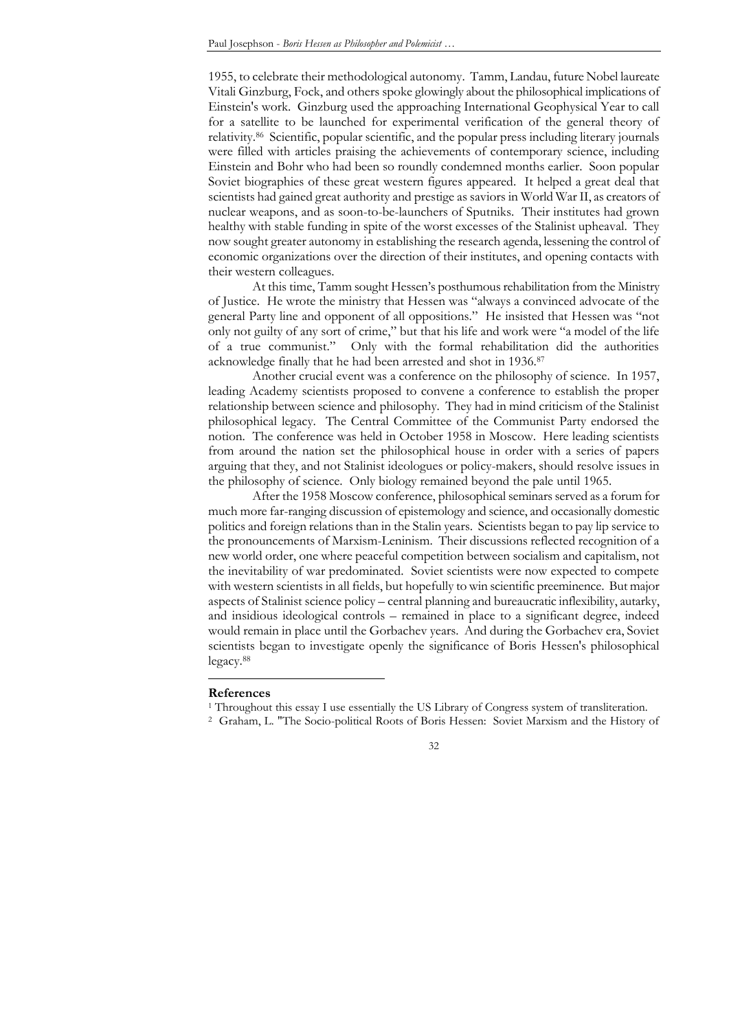1955, to celebrate their methodological autonomy. Tamm, Landau, future Nobel laureate Vitali Ginzburg, Fock, and others spoke glowingly about the philosophical implications of Einstein's work. Ginzburg used the approaching International Geophysical Year to call for a satellite to be launched for experimental verification of the general theory of relativity.<sup>86</sup> Scientific, popular scientific, and the popular press including literary journals were filled with articles praising the achievements of contemporary science, including Einstein and Bohr who had been so roundly condemned months earlier. Soon popular Soviet biographies of these great western figures appeared. It helped a great deal that scientists had gained great authority and prestige as saviors in World War II, as creators of nuclear weapons, and as soon-to-be-launchers of Sputniks. Their institutes had grown healthy with stable funding in spite of the worst excesses of the Stalinist upheaval. They now sought greater autonomy in establishing the research agenda, lessening the control of economic organizations over the direction of their institutes, and opening contacts with their western colleagues.

At this time, Tamm sought Hessen's posthumous rehabilitation from the Ministry of Justice. He wrote the ministry that Hessen was "always a convinced advocate of the general Party line and opponent of all oppositions." He insisted that Hessen was "not only not guilty of any sort of crime," but that his life and work were "a model of the life of a true communist.‖ Only with the formal rehabilitation did the authorities acknowledge finally that he had been arrested and shot in 1936.<sup>87</sup>

Another crucial event was a conference on the philosophy of science. In 1957, leading Academy scientists proposed to convene a conference to establish the proper relationship between science and philosophy. They had in mind criticism of the Stalinist philosophical legacy. The Central Committee of the Communist Party endorsed the notion. The conference was held in October 1958 in Moscow. Here leading scientists from around the nation set the philosophical house in order with a series of papers arguing that they, and not Stalinist ideologues or policy-makers, should resolve issues in the philosophy of science. Only biology remained beyond the pale until 1965.

After the 1958 Moscow conference, philosophical seminars served as a forum for much more far-ranging discussion of epistemology and science, and occasionally domestic politics and foreign relations than in the Stalin years. Scientists began to pay lip service to the pronouncements of Marxism-Leninism. Their discussions reflected recognition of a new world order, one where peaceful competition between socialism and capitalism, not the inevitability of war predominated. Soviet scientists were now expected to compete with western scientists in all fields, but hopefully to win scientific preeminence. But major aspects of Stalinist science policy – central planning and bureaucratic inflexibility, autarky, and insidious ideological controls – remained in place to a significant degree, indeed would remain in place until the Gorbachev years. And during the Gorbachev era, Soviet scientists began to investigate openly the significance of Boris Hessen's philosophical legacy.<sup>88</sup>

#### **References**

<u>.</u>

<sup>2</sup> Graham, L. "The Socio-political Roots of Boris Hessen: Soviet Marxism and the History of



<sup>&</sup>lt;sup>1</sup> Throughout this essay I use essentially the US Library of Congress system of transliteration.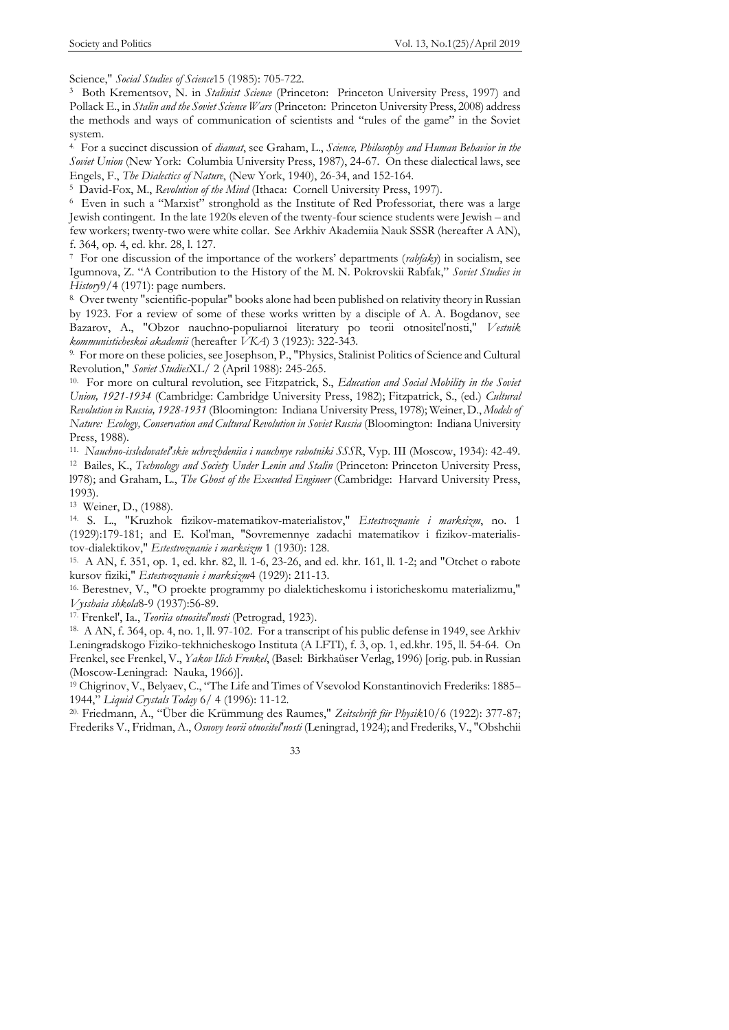Science," *Social Studies of Science*15 (1985): 705-722.

3 Both Krementsov, N. in *Stalinist Science* (Princeton: Princeton University Press, 1997) and Pollack E., in *Stalin and the Soviet Science Wars* (Princeton: Princeton University Press, 2008) address the methods and ways of communication of scientists and "rules of the game" in the Soviet system.

4. For a succinct discussion of *diamat*, see Graham, L., *Science, Philosophy and Human Behavior in the Soviet Union* (New York: Columbia University Press, 1987), 24-67. On these dialectical laws, see Engels, F., *The Dialectics of Nature*, (New York, 1940), 26-34, and 152-164.

5 David-Fox, M., *Revolution of the Mind* (Ithaca: Cornell University Press, 1997).

<sup>6</sup> Even in such a "Marxist" stronghold as the Institute of Red Professoriat, there was a large Jewish contingent. In the late 1920s eleven of the twenty-four science students were Jewish – and few workers; twenty-two were white collar. See Arkhiv Akademiia Nauk SSSR (hereafter A AN), f. 364, op. 4, ed. khr. 28, l. 127.

7 For one discussion of the importance of the workers' departments (*rabfaky*) in socialism, see Igumnova, Z. "A Contribution to the History of the M. N. Pokrovskii Rabfak," Soviet Studies in *History*9/4 (1971): page numbers.

8. Over twenty "scientific-popular" books alone had been published on relativity theory in Russian by 1923. For a review of some of these works written by a disciple of A. A. Bogdanov, see Bazarov, A., "Obzor nauchno-populiarnoi literatury po teorii otnositel'nosti," *Vestnik kommunisticheskoi akademii* (hereafter *VKA*) 3 (1923): 322-343.

9. For more on these policies, see Josephson, P., "Physics, Stalinist Politics of Science and Cultural Revolution," *Soviet Studies*XL/ 2 (April 1988): 245-265.

10. For more on cultural revolution, see Fitzpatrick, S., *Education and Social Mobility in the Soviet Union, 1921-1934* (Cambridge: Cambridge University Press, 1982); Fitzpatrick, S., (ed.) *Cultural Revolution in Russia, 1928-1931* (Bloomington: Indiana University Press, 1978); Weiner, D., *Models of Nature: Ecology, Conservation and Cultural Revolution in Soviet Russia* (Bloomington: Indiana University Press, 1988).

11. *Nauchno-issledovatel'skie uchrezhdeniia i nauchnye rabotniki SSSR*, Vyp. III (Moscow, 1934): 42-49.

<sup>12</sup> Bailes, K., *Technology and Society Under Lenin and Stalin* (Princeton: Princeton University Press, l978); and Graham, L., *The Ghost of the Executed Engineer* (Cambridge: Harvard University Press, 1993).

13 Weiner, D., (1988).

14. S. L., "Kruzhok fizikov-matematikov-materialistov," *Estestvoznanie i marksizm*, no. 1 (1929):179-181; and E. Kol'man, "Sovremennye zadachi matematikov i fizikov-materialistov-dialektikov," *Estestvoznanie i marksizm* 1 (1930): 128.

15. A AN, f. 351, op. 1, ed. khr. 82, ll. 1-6, 23-26, and ed. khr. 161, ll. 1-2; and "Otchet o rabote kursov fiziki," *Estestvoznanie i marksizm*4 (1929): 211-13.

16. Berestnev, V., "O proekte programmy po dialekticheskomu i istoricheskomu materializmu," *Vysshaia shkola*8-9 (1937):56-89.

17. Frenkel', Ia., *Teoriia otnositel'nosti* (Petrograd, 1923).

18. A AN, f. 364, op. 4, no. 1, ll. 97-102. For a transcript of his public defense in 1949, see Arkhiv Leningradskogo Fiziko-tekhnicheskogo Instituta (A LFTI), f. 3, op. 1, ed.khr. 195, ll. 54-64. On Frenkel, see Frenkel, V., *Yakov Ilich Frenkel*, (Basel: Birkhaüser Verlag, 1996) [orig. pub. in Russian (Moscow-Leningrad: Nauka, 1966)].

<sup>19</sup> Chigrinov, V., Belyaev, C., "The Life and Times of Vsevolod Konstantinovich Frederiks: 1885– 1944,‖ *Liquid Crystals Today* 6/ 4 (1996): 11-12.

20. Friedmann, A., ―Über die Krümmung des Raumes," *Zeitschrift für Physik*10/6 (1922): 377-87; Frederiks V., Fridman, A., *Osnovy teorii otnositel'nosti* (Leningrad, 1924); and Frederiks, V., "Obshchii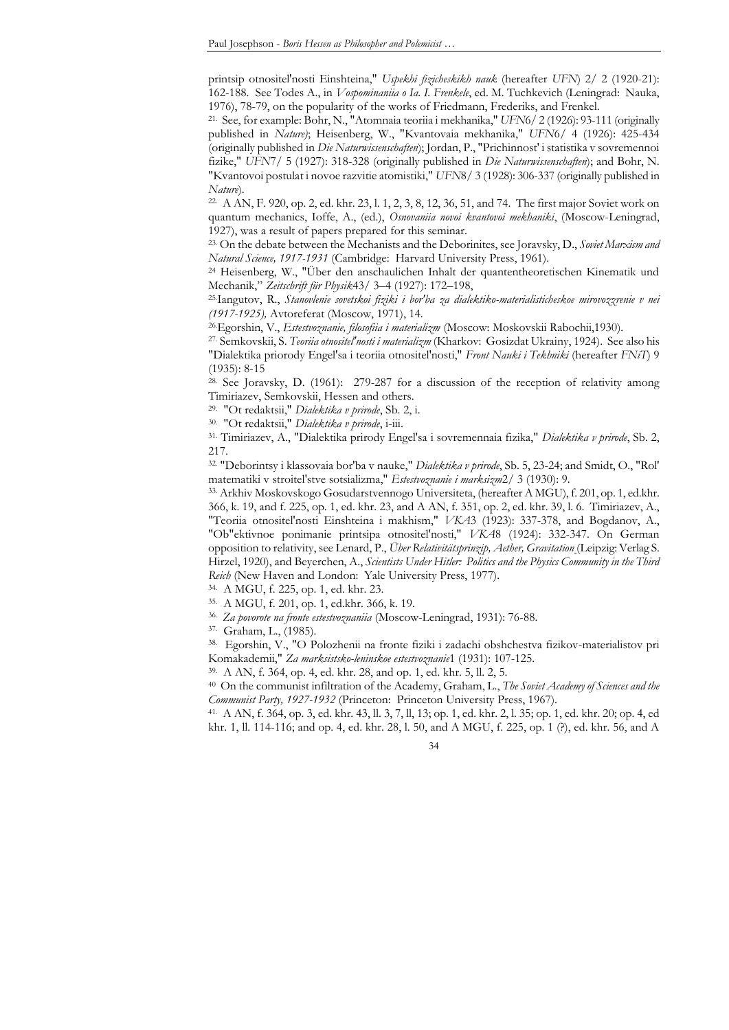printsip otnositel'nosti Einshteina," *Uspekhi fizicheskikh nauk* (hereafter *UFN*) 2/ 2 (1920-21): 162-188. See Todes A., in *Vospominaniia o Ia. I. Frenkele*, ed. M. Tuchkevich (Leningrad: Nauka, 1976), 78-79, on the popularity of the works of Friedmann, Frederiks, and Frenkel.

21. See, for example: Bohr, N., "Atomnaia teoriia i mekhanika," *UFN*6/ 2 (1926): 93-111 (originally published in *Nature)*; Heisenberg, W., "Kvantovaia mekhanika," *UFN*6/ 4 (1926): 425-434 (originally published in *Die Naturwissenschaften*); Jordan, P., "Prichinnost' i statistika v sovremennoi fizike," *UFN*7/ 5 (1927): 318-328 (originally published in *Die Naturwissenschaften*); and Bohr, N. "Kvantovoi postulat i novoe razvitie atomistiki," *UFN*8/ 3 (1928): 306-337 (originally published in *Nature*).

22. A AN, F. 920, op. 2, ed. khr. 23, l. 1, 2, 3, 8, 12, 36, 51, and 74. The first major Soviet work on quantum mechanics, Ioffe, A., (ed.), *Osnovaniia novoi kvantovoi mekhaniki*, (Moscow-Leningrad, 1927), was a result of papers prepared for this seminar.

23. On the debate between the Mechanists and the Deborinites, see Joravsky, D., *Soviet Marxism and Natural Science, 1917-1931* (Cambridge: Harvard University Press, 1961).

<sup>24</sup> Heisenberg, W., "Über den anschaulichen Inhalt der quantentheoretischen Kinematik und Mechanik,‖ *Zeitschrift für Physik*43/ 3–4 (1927): 172–198,

25.Iangutov, R., *Stanovlenie sovetskoi fiziki i bor'ba za dialektiko-materialisticheskoe mirovozzrenie v nei (1917-1925),* Avtoreferat (Moscow, 1971), 14.

26.Egorshin, V., *Estestvoznanie, filosofiia i materializm* (Moscow: Moskovskii Rabochii,1930).

27. Semkovskii, S. *Teoriia otnositel'nosti i materializm* (Kharkov: Gosizdat Ukrainy, 1924). See also his "Dialektika priorody Engel'sa i teoriia otnositel'nosti," *Front Nauki i Tekhniki* (hereafter *FNiT*) 9 (1935): 8-15

28. See Joravsky, D. (1961): 279-287 for a discussion of the reception of relativity among Timiriazev, Semkovskii, Hessen and others.

29. "Ot redaktsii," *Dialektika v prirode*, Sb. 2, i.

30. "Ot redaktsii," *Dialektika v prirode*, i-iii.

31. Timiriazev, A., "Dialektika prirody Engel'sa i sovremennaia fizika," *Dialektika v prirode*, Sb. 2, 217.

32. "Deborintsy i klassovaia bor'ba v nauke," *Dialektika v prirode*, Sb. 5, 23-24; and Smidt, O., "Rol' matematiki v stroitel'stve sotsializma," *Estestvoznanie i marksizm*2/ 3 (1930): 9.

33. Arkhiv Moskovskogo Gosudarstvennogo Universiteta, (hereafter A MGU), f. 201, op. 1, ed.khr. 366, k. 19, and f. 225, op. 1, ed. khr. 23, and A AN, f. 351, op. 2, ed. khr. 39, l. 6. Timiriazev, A., "Teoriia otnositel'nosti Einshteina i makhism," *VKA*3 (1923): 337-378, and Bogdanov, A., "Ob"ektivnoe ponimanie printsipa otnositel'nosti," *VKA*8 (1924): 332-347. On German opposition to relativity, see Lenard, P., *Über Relativitätsprinzip, Aether, Gravitation* (Leipzig: Verlag S. Hirzel, 1920), and Beyerchen, A., *Scientists Under Hitler: Politics and the Physics Community in the Third Reich* (New Haven and London: Yale University Press, 1977).

34. A MGU, f. 225, op. 1, ed. khr. 23.

35. A MGU, f. 201, op. 1, ed.khr. 366, k. 19.

36. *Za povorote na fronte estestvoznaniia* (Moscow-Leningrad, 1931): 76-88.

37. Graham, L., (1985).

38. Egorshin, V., "O Polozhenii na fronte fiziki i zadachi obshchestva fizikov-materialistov pri Komakademii," *Za marksistsko-leninskoe estestvoznanie*1 (1931): 107-125.

39. A AN, f. 364, op. 4, ed. khr. 28, and op. 1, ed. khr. 5, ll. 2, 5.

40 On the communist infiltration of the Academy, Graham, L., *The Soviet Academy of Sciences and the Communist Party, 1927-1932* (Princeton: Princeton University Press, 1967).

41. A AN, f. 364, op. 3, ed. khr. 43, ll. 3, 7, ll, 13; op. 1, ed. khr. 2, l. 35; op. 1, ed. khr. 20; op. 4, ed khr. 1, ll. 114-116; and op. 4, ed. khr. 28, l. 50, and A MGU, f. 225, op. 1 (?), ed. khr. 56, and A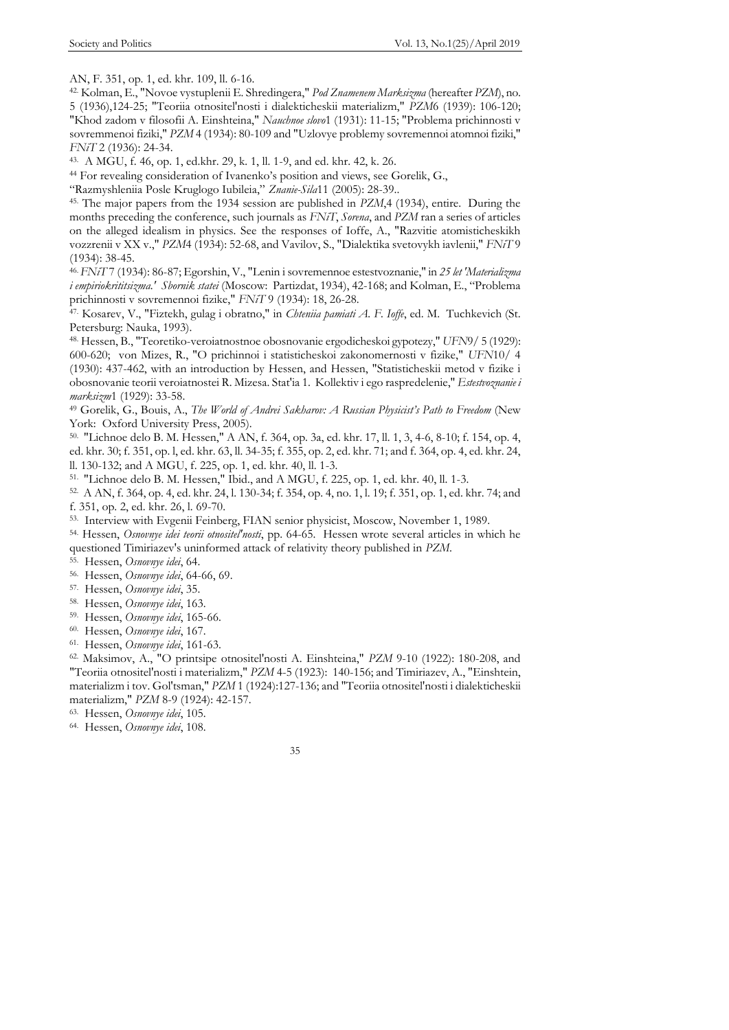AN, F. 351, op. 1, ed. khr. 109, ll. 6-16.

42. Kolman, E., "Novoe vystuplenii E. Shredingera," *Pod Znamenem Marksizma* (hereafter *PZM*), no. 5 (1936),124-25; "Teoriia otnositel'nosti i dialekticheskii materializm," *PZM*6 (1939): 106-120; "Khod zadom v filosofii A. Einshteina," *Nauchnoe slovo*1 (1931): 11-15; "Problema prichinnosti v sovremmenoi fiziki," *PZM* 4 (1934): 80-109 and "Uzlovye problemy sovremennoi atomnoi fiziki," *FNiT* 2 (1936): 24-34.

43. A MGU, f. 46, op. 1, ed.khr. 29, k. 1, ll. 1-9, and ed. khr. 42, k. 26.

<sup>44</sup> For revealing consideration of Ivanenko's position and views, see Gorelik, G.,

―Razmyshleniia Posle Kruglogo Iubileia,‖ *Znanie-Sila*11 (2005): 28-39..

45. The major papers from the 1934 session are published in *PZM*,4 (1934), entire. During the months preceding the conference, such journals as *FNiT*, *Sorena*, and *PZM* ran a series of articles on the alleged idealism in physics. See the responses of Ioffe, A., "Razvitie atomisticheskikh vozzrenii v XX v.," *PZM*4 (1934): 52-68, and Vavilov, S., "Dialektika svetovykh iavlenii," *FNiT* 9 (1934): 38-45.

46. *FNiT* 7 (1934): 86-87; Egorshin, V., "Lenin i sovremennoe estestvoznanie," in *25 let 'Materializma i empiriokrititsizma.' Sbornik statei* (Moscow: Partizdat, 1934), 42-168; and Kolman, E., "Problema prichinnosti v sovremennoi fizike," *FNiT* 9 (1934): 18, 26-28.

47. Kosarev, V., "Fiztekh, gulag i obratno," in *Chteniia pamiati A. F. Ioffe*, ed. M. Tuchkevich (St. Petersburg: Nauka, 1993).

48. Hessen, B., "Teoretiko-veroiatnostnoe obosnovanie ergodicheskoi gypotezy," *UFN*9/ 5 (1929): 600-620; von Mizes, R., "O prichinnoi i statisticheskoi zakonomernosti v fizike," *UFN*10/ 4 (1930): 437-462, with an introduction by Hessen, and Hessen, "Statisticheskii metod v fizike i obosnovanie teorii veroiatnostei R. Mizesa. Stat'ia 1. Kollektiv i ego raspredelenie," *Estestvoznanie i marksizm*1 (1929): 33-58.

<sup>49</sup> Gorelik, G., Bouis, A., *The World of Andrei Sakharov: A Russian Physicist's Path to Freedom* (New York: Oxford University Press, 2005).

50. "Lichnoe delo B. M. Hessen," A AN, f. 364, op. 3a, ed. khr. 17, ll. 1, 3, 4-6, 8-10; f. 154, op. 4, ed. khr. 30; f. 351, op. l, ed. khr. 63, ll. 34-35; f. 355, op. 2, ed. khr. 71; and f. 364, op. 4, ed. khr. 24, ll. 130-132; and A MGU, f. 225, op. 1, ed. khr. 40, ll. 1-3.

51. "Lichnoe delo B. M. Hessen," Ibid., and A MGU, f. 225, op. 1, ed. khr. 40, ll. 1-3.

52. A AN, f. 364, op. 4, ed. khr. 24, l. 130-34; f. 354, op. 4, no. 1, l. 19; f. 351, op. 1, ed. khr. 74; and f. 351, op. 2, ed. khr. 26, l. 69-70.

53. Interview with Evgenii Feinberg, FIAN senior physicist, Moscow, November 1, 1989.

54. Hessen, *Osnovnye idei teorii otnositel'nosti*, pp. 64-65. Hessen wrote several articles in which he questioned Timiriazev's uninformed attack of relativity theory published in *PZM*.

55. Hessen, *Osnovnye idei*, 64.

56. Hessen, *Osnovnye idei*, 64-66, 69.

57. Hessen, *Osnovnye idei*, 35.

58. Hessen, *Osnovnye idei*, 163.

59. Hessen, *Osnovnye idei*, 165-66.

60. Hessen, *Osnovnye idei*, 167.

61. Hessen, *Osnovnye idei*, 161-63.

62. Maksimov, A., "O printsipe otnositel'nosti A. Einshteina," *PZM* 9-10 (1922): 180-208, and "Teoriia otnositel'nosti i materializm," *PZM* 4-5 (1923): 140-156; and Timiriazev, A., "Einshtein, materializm i tov. Gol'tsman," *PZM* 1 (1924):127-136; and "Teoriia otnositel'nosti i dialekticheskii materializm," *PZM* 8-9 (1924): 42-157.

63. Hessen, *Osnovnye idei*, 105.

64. Hessen, *Osnovnye idei*, 108.